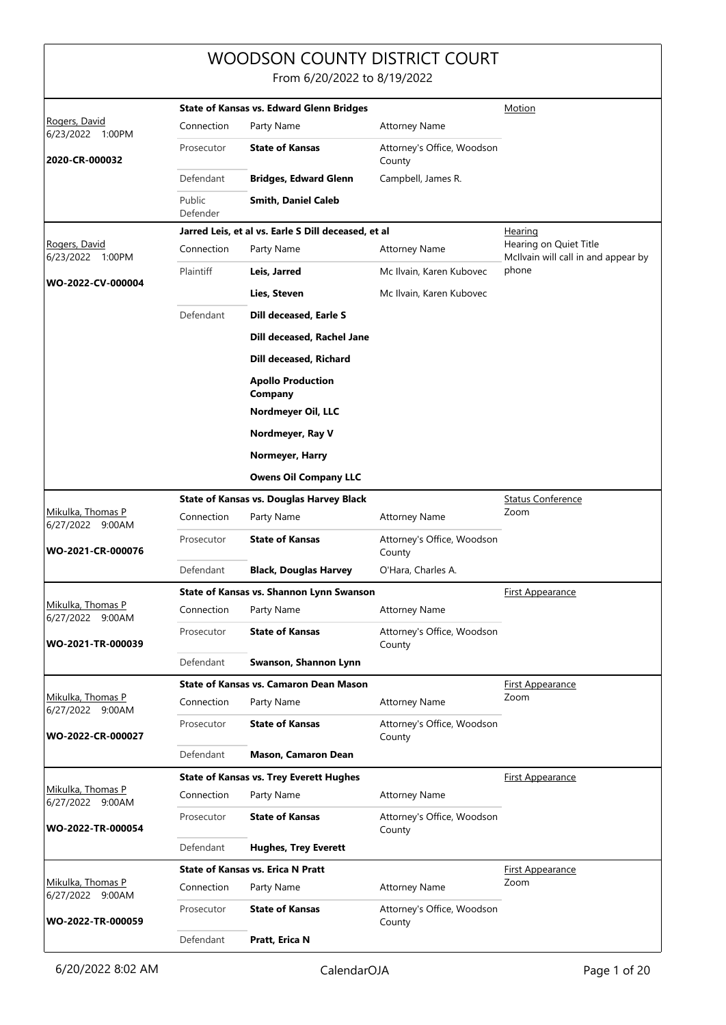## WOODSON COUNTY DISTRICT COURT

From 6/20/2022 to 8/19/2022

| Rogers, David                         |                    | <b>State of Kansas vs. Edward Glenn Bridges</b>     | Motion                               |                                                               |
|---------------------------------------|--------------------|-----------------------------------------------------|--------------------------------------|---------------------------------------------------------------|
| 6/23/2022 1:00PM                      | Connection         | Party Name                                          | <b>Attorney Name</b>                 |                                                               |
| 2020-CR-000032                        | Prosecutor         | <b>State of Kansas</b>                              | Attorney's Office, Woodson<br>County |                                                               |
|                                       | Defendant          | <b>Bridges, Edward Glenn</b>                        | Campbell, James R.                   |                                                               |
|                                       | Public<br>Defender | <b>Smith, Daniel Caleb</b>                          |                                      |                                                               |
|                                       |                    | Jarred Leis, et al vs. Earle S Dill deceased, et al |                                      | <u>Hearing</u>                                                |
| Rogers, David<br>6/23/2022 1:00PM     | Connection         | Party Name                                          | <b>Attorney Name</b>                 | Hearing on Quiet Title<br>McIlvain will call in and appear by |
| WO-2022-CV-000004                     | Plaintiff          | Leis, Jarred                                        | Mc Ilvain, Karen Kubovec             | phone                                                         |
|                                       |                    | Lies, Steven                                        | Mc Ilvain, Karen Kubovec             |                                                               |
|                                       | Defendant          | Dill deceased, Earle S                              |                                      |                                                               |
|                                       |                    | Dill deceased, Rachel Jane                          |                                      |                                                               |
|                                       |                    | Dill deceased, Richard                              |                                      |                                                               |
|                                       |                    | <b>Apollo Production</b><br>Company                 |                                      |                                                               |
|                                       |                    | Nordmeyer Oil, LLC                                  |                                      |                                                               |
|                                       |                    | Nordmeyer, Ray V                                    |                                      |                                                               |
|                                       |                    | Normeyer, Harry                                     |                                      |                                                               |
|                                       |                    | <b>Owens Oil Company LLC</b>                        |                                      |                                                               |
|                                       |                    | <b>State of Kansas vs. Douglas Harvey Black</b>     |                                      | <b>Status Conference</b>                                      |
| Mikulka, Thomas P<br>6/27/2022 9:00AM | Connection         | Party Name                                          | <b>Attorney Name</b>                 | Zoom                                                          |
| WO-2021-CR-000076                     | Prosecutor         | <b>State of Kansas</b>                              | Attorney's Office, Woodson<br>County |                                                               |
|                                       | Defendant          | <b>Black, Douglas Harvey</b>                        | O'Hara, Charles A.                   |                                                               |
|                                       |                    | State of Kansas vs. Shannon Lynn Swanson            |                                      | <b>First Appearance</b>                                       |
| Mikulka, Thomas P<br>6/27/2022 9:00AM | Connection         | Party Name                                          | <b>Attorney Name</b>                 |                                                               |
| WO-2021-TR-000039                     | Prosecutor         | <b>State of Kansas</b>                              | Attorney's Office, Woodson<br>County |                                                               |
|                                       | Defendant          | Swanson, Shannon Lynn                               |                                      |                                                               |
|                                       |                    | <b>State of Kansas vs. Camaron Dean Mason</b>       |                                      | <b>First Appearance</b>                                       |
| Mikulka, Thomas P<br>6/27/2022 9:00AM | Connection         | Party Name                                          | <b>Attorney Name</b>                 | Zoom                                                          |
| WO-2022-CR-000027                     | Prosecutor         | <b>State of Kansas</b>                              | Attorney's Office, Woodson<br>County |                                                               |
|                                       | Defendant          | <b>Mason, Camaron Dean</b>                          |                                      |                                                               |
|                                       |                    | <b>State of Kansas vs. Trey Everett Hughes</b>      |                                      | <u>First Appearance</u>                                       |
| Mikulka, Thomas P<br>6/27/2022 9:00AM | Connection         | Party Name                                          | <b>Attorney Name</b>                 |                                                               |
| WO-2022-TR-000054                     | Prosecutor         | <b>State of Kansas</b>                              | Attorney's Office, Woodson<br>County |                                                               |
|                                       | Defendant          | <b>Hughes, Trey Everett</b>                         |                                      |                                                               |
|                                       |                    | <b>State of Kansas vs. Erica N Pratt</b>            |                                      | <b>First Appearance</b>                                       |
| Mikulka, Thomas P<br>6/27/2022 9:00AM | Connection         | Party Name                                          | <b>Attorney Name</b>                 | Zoom                                                          |
| WO-2022-TR-000059                     | Prosecutor         | <b>State of Kansas</b>                              | Attorney's Office, Woodson<br>County |                                                               |
|                                       | Defendant          | Pratt, Erica N                                      |                                      |                                                               |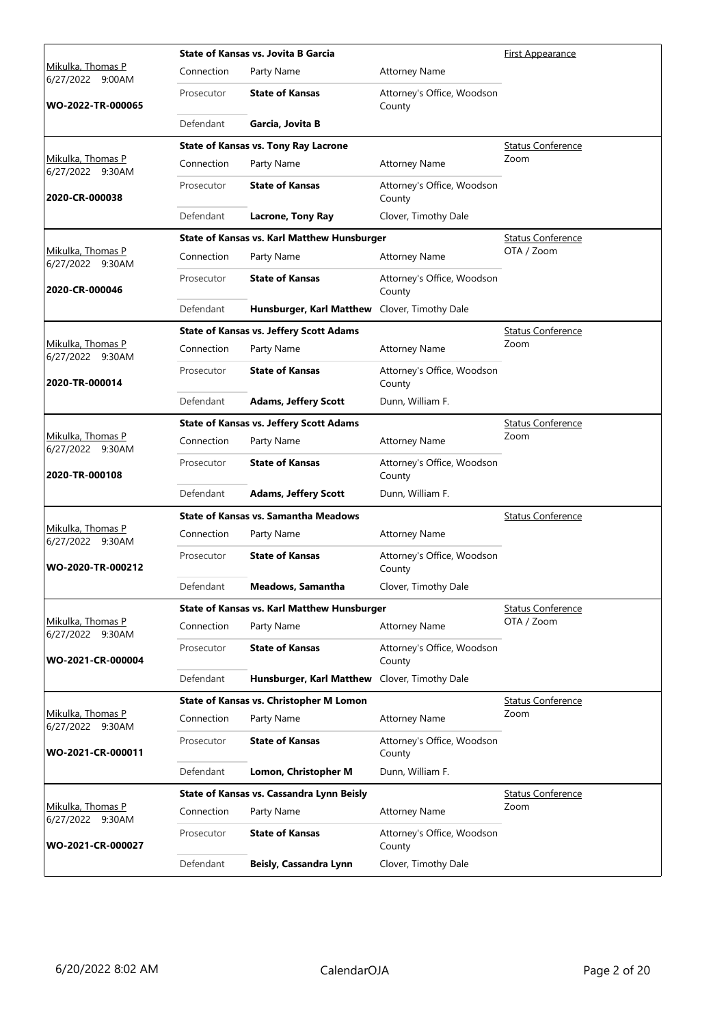|                                       |            | <b>State of Kansas vs. Jovita B Garcia</b>         |                                      | <b>First Appearance</b>  |
|---------------------------------------|------------|----------------------------------------------------|--------------------------------------|--------------------------|
| Mikulka, Thomas P<br>6/27/2022 9:00AM | Connection | Party Name                                         | <b>Attorney Name</b>                 |                          |
| WO-2022-TR-000065                     | Prosecutor | <b>State of Kansas</b>                             | Attorney's Office, Woodson<br>County |                          |
|                                       | Defendant  | Garcia, Jovita B                                   |                                      |                          |
|                                       |            | <b>State of Kansas vs. Tony Ray Lacrone</b>        |                                      | <b>Status Conference</b> |
| Mikulka, Thomas P<br>6/27/2022 9:30AM | Connection | Party Name                                         | <b>Attorney Name</b>                 | Zoom                     |
| 2020-CR-000038                        | Prosecutor | <b>State of Kansas</b>                             | Attorney's Office, Woodson<br>County |                          |
|                                       | Defendant  | <b>Lacrone, Tony Ray</b>                           | Clover, Timothy Dale                 |                          |
|                                       |            | <b>State of Kansas vs. Karl Matthew Hunsburger</b> |                                      | <b>Status Conference</b> |
| Mikulka, Thomas P<br>6/27/2022 9:30AM | Connection | Party Name                                         | <b>Attorney Name</b>                 | OTA / Zoom               |
| 2020-CR-000046                        | Prosecutor | <b>State of Kansas</b>                             | Attorney's Office, Woodson<br>County |                          |
|                                       | Defendant  | Hunsburger, Karl Matthew                           | Clover, Timothy Dale                 |                          |
|                                       |            | <b>State of Kansas vs. Jeffery Scott Adams</b>     |                                      | <b>Status Conference</b> |
| Mikulka, Thomas P<br>6/27/2022 9:30AM | Connection | Party Name                                         | <b>Attorney Name</b>                 | Zoom                     |
| 2020-TR-000014                        | Prosecutor | <b>State of Kansas</b>                             | Attorney's Office, Woodson<br>County |                          |
|                                       | Defendant  | <b>Adams, Jeffery Scott</b>                        | Dunn, William F.                     |                          |
|                                       |            | <b>State of Kansas vs. Jeffery Scott Adams</b>     |                                      | <b>Status Conference</b> |
| Mikulka, Thomas P<br>6/27/2022 9:30AM | Connection | Party Name                                         | <b>Attorney Name</b>                 | Zoom                     |
| 2020-TR-000108                        | Prosecutor | <b>State of Kansas</b>                             | Attorney's Office, Woodson<br>County |                          |
|                                       | Defendant  | <b>Adams, Jeffery Scott</b>                        | Dunn, William F.                     |                          |
|                                       |            | <b>State of Kansas vs. Samantha Meadows</b>        | <b>Status Conference</b>             |                          |
| Mikulka, Thomas P<br>6/27/2022 9:30AM | Connection | Party Name                                         | <b>Attorney Name</b>                 |                          |
| WO-2020-TR-000212                     | Prosecutor | <b>State of Kansas</b>                             | Attorney's Office, Woodson<br>County |                          |
|                                       | Defendant  | Meadows, Samantha                                  | Clover, Timothy Dale                 |                          |
|                                       |            | <b>State of Kansas vs. Karl Matthew Hunsburger</b> |                                      | <b>Status Conference</b> |
| Mikulka, Thomas P<br>6/27/2022 9:30AM | Connection | Party Name                                         | <b>Attorney Name</b>                 | OTA / Zoom               |
| WO-2021-CR-000004                     | Prosecutor | <b>State of Kansas</b>                             | Attorney's Office, Woodson<br>County |                          |
|                                       | Defendant  | Hunsburger, Karl Matthew Clover, Timothy Dale      |                                      |                          |
|                                       |            | State of Kansas vs. Christopher M Lomon            |                                      | <b>Status Conference</b> |
| Mikulka, Thomas P<br>6/27/2022 9:30AM | Connection | Party Name                                         | <b>Attorney Name</b>                 | Zoom                     |
| WO-2021-CR-000011                     | Prosecutor | <b>State of Kansas</b>                             | Attorney's Office, Woodson<br>County |                          |
|                                       | Defendant  | Lomon, Christopher M                               | Dunn, William F.                     |                          |
|                                       |            | State of Kansas vs. Cassandra Lynn Beisly          |                                      | <b>Status Conference</b> |
| Mikulka, Thomas P<br>6/27/2022 9:30AM | Connection | Party Name                                         | <b>Attorney Name</b>                 | Zoom                     |
| WO-2021-CR-000027                     | Prosecutor | <b>State of Kansas</b>                             | Attorney's Office, Woodson<br>County |                          |
|                                       | Defendant  | Beisly, Cassandra Lynn                             | Clover, Timothy Dale                 |                          |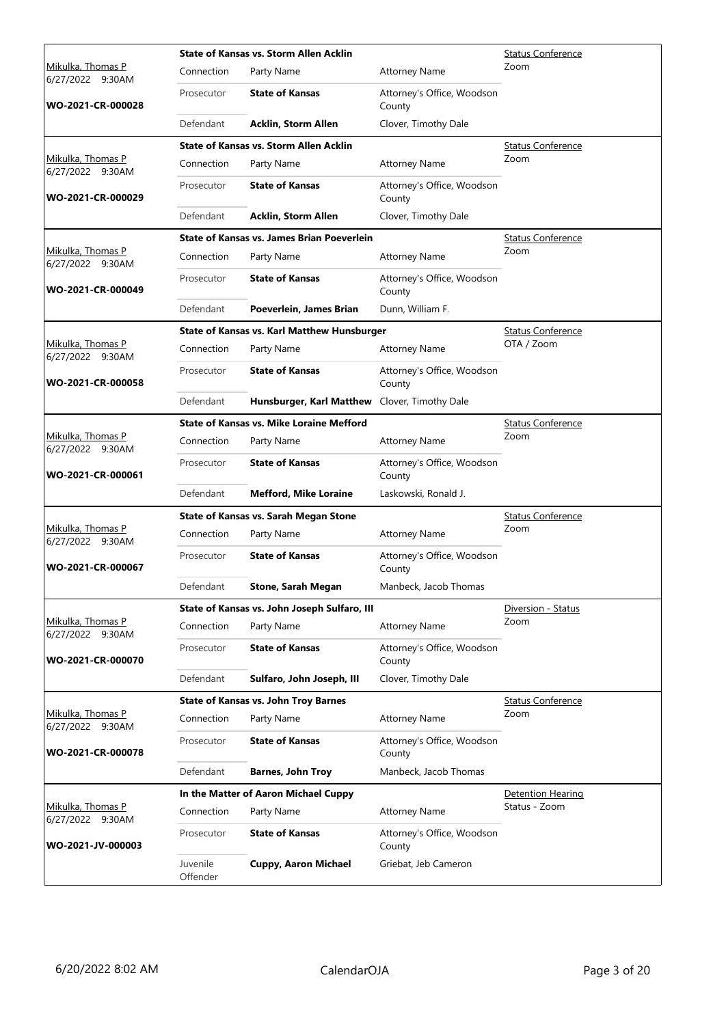|                                              |                      | State of Kansas vs. Storm Allen Acklin             | <b>Status Conference</b>             |                          |
|----------------------------------------------|----------------------|----------------------------------------------------|--------------------------------------|--------------------------|
| Mikulka, Thomas P<br>6/27/2022 9:30AM        | Connection           | Party Name                                         | <b>Attorney Name</b>                 | Zoom                     |
| WO-2021-CR-000028                            | Prosecutor           | <b>State of Kansas</b>                             | Attorney's Office, Woodson<br>County |                          |
|                                              | Defendant            | <b>Acklin, Storm Allen</b>                         | Clover, Timothy Dale                 |                          |
|                                              |                      | <b>State of Kansas vs. Storm Allen Acklin</b>      |                                      | <b>Status Conference</b> |
| Mikulka, Thomas P<br>6/27/2022 9:30AM        | Connection           | Party Name                                         | <b>Attorney Name</b>                 | Zoom                     |
| WO-2021-CR-000029                            | Prosecutor           | <b>State of Kansas</b>                             | Attorney's Office, Woodson<br>County |                          |
|                                              | Defendant            | <b>Acklin, Storm Allen</b>                         | Clover, Timothy Dale                 |                          |
|                                              |                      | <b>State of Kansas vs. James Brian Poeverlein</b>  |                                      | <b>Status Conference</b> |
| Mikulka, Thomas P<br>6/27/2022 9:30AM        | Connection           | Party Name                                         | <b>Attorney Name</b>                 | Zoom                     |
| WO-2021-CR-000049                            | Prosecutor           | <b>State of Kansas</b>                             | Attorney's Office, Woodson<br>County |                          |
|                                              | Defendant            | Poeverlein, James Brian                            | Dunn, William F.                     |                          |
|                                              |                      | <b>State of Kansas vs. Karl Matthew Hunsburger</b> |                                      | <b>Status Conference</b> |
| <u>Mikulka, Thomas P</u><br>6/27/2022 9:30AM | Connection           | Party Name                                         | <b>Attorney Name</b>                 | OTA / Zoom               |
| WO-2021-CR-000058                            | Prosecutor           | <b>State of Kansas</b>                             | Attorney's Office, Woodson<br>County |                          |
|                                              | Defendant            | Hunsburger, Karl Matthew                           | Clover, Timothy Dale                 |                          |
|                                              |                      | <b>State of Kansas vs. Mike Loraine Mefford</b>    | <b>Status Conference</b>             |                          |
| Mikulka, Thomas P<br>6/27/2022 9:30AM        | Connection           | Party Name                                         | <b>Attorney Name</b>                 | Zoom                     |
| WO-2021-CR-000061                            | Prosecutor           | <b>State of Kansas</b>                             | Attorney's Office, Woodson<br>County |                          |
|                                              | Defendant            | <b>Mefford, Mike Loraine</b>                       | Laskowski, Ronald J.                 |                          |
|                                              |                      | <b>State of Kansas vs. Sarah Megan Stone</b>       |                                      | <b>Status Conference</b> |
| Mikulka, Thomas P<br>6/27/2022 9:30AM        | Connection           | Party Name                                         | <b>Attorney Name</b>                 | Zoom                     |
| WO-2021-CR-000067                            | Prosecutor           | <b>State of Kansas</b>                             | Attorney's Office, Woodson<br>County |                          |
|                                              | Defendant            | Stone, Sarah Megan                                 | Manbeck, Jacob Thomas                |                          |
|                                              |                      | State of Kansas vs. John Joseph Sulfaro, III       |                                      | Diversion - Status       |
| Mikulka, Thomas P<br>6/27/2022 9:30AM        | Connection           | Party Name                                         | <b>Attorney Name</b>                 | Zoom                     |
| WO-2021-CR-000070                            | Prosecutor           | <b>State of Kansas</b>                             | Attorney's Office, Woodson<br>County |                          |
|                                              | Defendant            | Sulfaro, John Joseph, III                          | Clover, Timothy Dale                 |                          |
|                                              |                      | <b>State of Kansas vs. John Troy Barnes</b>        |                                      | <b>Status Conference</b> |
| Mikulka, Thomas P<br>6/27/2022 9:30AM        | Connection           | Party Name                                         | <b>Attorney Name</b>                 | Zoom                     |
| WO-2021-CR-000078                            | Prosecutor           | <b>State of Kansas</b>                             | Attorney's Office, Woodson<br>County |                          |
|                                              | Defendant            | <b>Barnes, John Troy</b>                           | Manbeck, Jacob Thomas                |                          |
|                                              |                      | In the Matter of Aaron Michael Cuppy               |                                      | Detention Hearing        |
| Mikulka, Thomas P<br>6/27/2022 9:30AM        | Connection           | Party Name                                         | <b>Attorney Name</b>                 | Status - Zoom            |
| WO-2021-JV-000003                            | Prosecutor           | <b>State of Kansas</b>                             | Attorney's Office, Woodson<br>County |                          |
|                                              | Juvenile<br>Offender | <b>Cuppy, Aaron Michael</b>                        | Griebat, Jeb Cameron                 |                          |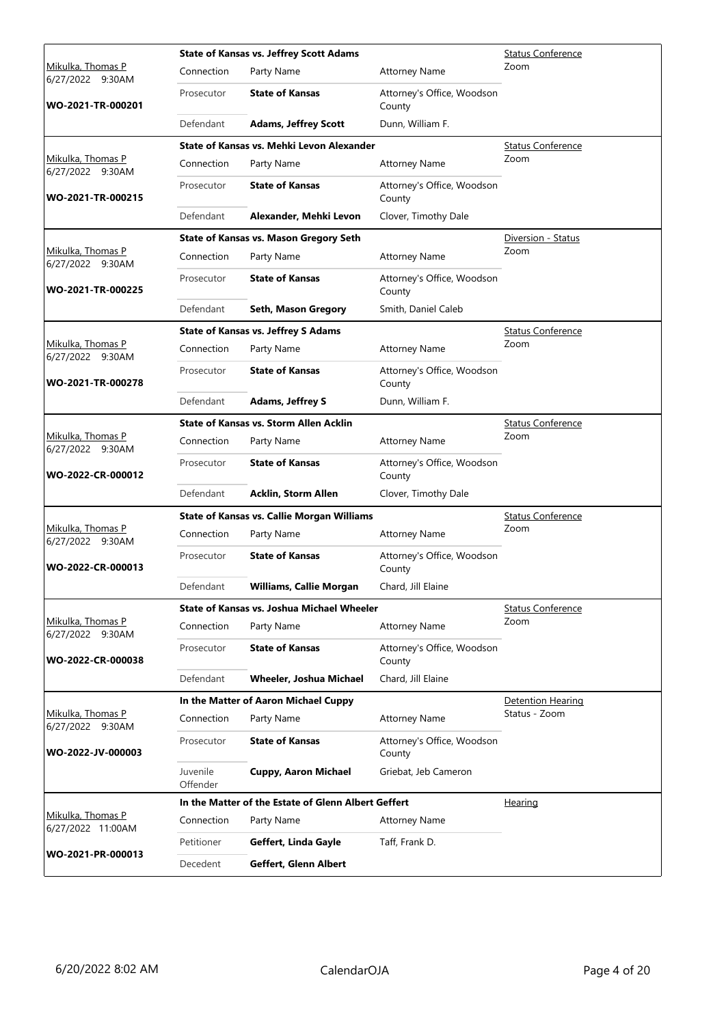|                                        |                      | <b>State of Kansas vs. Jeffrey Scott Adams</b>      | <b>Status Conference</b>             |                          |
|----------------------------------------|----------------------|-----------------------------------------------------|--------------------------------------|--------------------------|
| Mikulka, Thomas P<br>6/27/2022 9:30AM  | Connection           | Party Name                                          | <b>Attorney Name</b>                 | Zoom                     |
| WO-2021-TR-000201                      | Prosecutor           | <b>State of Kansas</b>                              | Attorney's Office, Woodson<br>County |                          |
|                                        | Defendant            | <b>Adams, Jeffrey Scott</b>                         | Dunn, William F.                     |                          |
|                                        |                      | State of Kansas vs. Mehki Levon Alexander           |                                      | <b>Status Conference</b> |
| Mikulka, Thomas P<br>6/27/2022 9:30AM  | Connection           | Party Name                                          | <b>Attorney Name</b>                 | Zoom                     |
| WO-2021-TR-000215                      | Prosecutor           | <b>State of Kansas</b>                              | Attorney's Office, Woodson<br>County |                          |
|                                        | Defendant            | Alexander, Mehki Levon                              | Clover, Timothy Dale                 |                          |
|                                        |                      | <b>State of Kansas vs. Mason Gregory Seth</b>       |                                      | Diversion - Status       |
| Mikulka, Thomas P<br>6/27/2022 9:30AM  | Connection           | Party Name                                          | <b>Attorney Name</b>                 | Zoom                     |
| WO-2021-TR-000225                      | Prosecutor           | <b>State of Kansas</b>                              | Attorney's Office, Woodson<br>County |                          |
|                                        | Defendant            | Seth, Mason Gregory                                 | Smith, Daniel Caleb                  |                          |
|                                        |                      | <b>State of Kansas vs. Jeffrey S Adams</b>          |                                      | Status Conference        |
| Mikulka, Thomas P<br>6/27/2022 9:30AM  | Connection           | Party Name                                          | <b>Attorney Name</b>                 | Zoom                     |
| WO-2021-TR-000278                      | Prosecutor           | <b>State of Kansas</b>                              | Attorney's Office, Woodson<br>County |                          |
|                                        | Defendant            | <b>Adams, Jeffrey S</b>                             | Dunn, William F.                     |                          |
|                                        |                      | <b>State of Kansas vs. Storm Allen Acklin</b>       |                                      | <b>Status Conference</b> |
| Mikulka, Thomas P<br>6/27/2022 9:30AM  | Connection           | Party Name                                          | <b>Attorney Name</b>                 | Zoom                     |
| WO-2022-CR-000012                      | Prosecutor           | <b>State of Kansas</b>                              | Attorney's Office, Woodson<br>County |                          |
|                                        | Defendant            | <b>Acklin, Storm Allen</b>                          | Clover, Timothy Dale                 |                          |
|                                        |                      | <b>State of Kansas vs. Callie Morgan Williams</b>   | <b>Status Conference</b>             |                          |
| Mikulka, Thomas P<br>6/27/2022 9:30AM  | Connection           | Party Name                                          | <b>Attorney Name</b>                 | Zoom                     |
| WO-2022-CR-000013                      | Prosecutor           | <b>State of Kansas</b>                              | Attorney's Office, Woodson<br>County |                          |
|                                        | Defendant            | <b>Williams, Callie Morgan</b>                      | Chard, Jill Elaine                   |                          |
|                                        |                      | State of Kansas vs. Joshua Michael Wheeler          |                                      | <b>Status Conference</b> |
| Mikulka, Thomas P<br>6/27/2022 9:30AM  | Connection           | Party Name                                          | <b>Attorney Name</b>                 | Zoom                     |
| WO-2022-CR-000038                      | Prosecutor           | <b>State of Kansas</b>                              | Attorney's Office, Woodson<br>County |                          |
|                                        | Defendant            | Wheeler, Joshua Michael                             | Chard, Jill Elaine                   |                          |
|                                        |                      | In the Matter of Aaron Michael Cuppy                |                                      | Detention Hearing        |
| Mikulka, Thomas P<br>6/27/2022 9:30AM  | Connection           | Party Name                                          | <b>Attorney Name</b>                 | Status - Zoom            |
| WO-2022-JV-000003                      | Prosecutor           | <b>State of Kansas</b>                              | Attorney's Office, Woodson<br>County |                          |
|                                        | Juvenile<br>Offender | <b>Cuppy, Aaron Michael</b>                         | Griebat, Jeb Cameron                 |                          |
|                                        |                      | In the Matter of the Estate of Glenn Albert Geffert |                                      | Hearing                  |
| Mikulka, Thomas P<br>6/27/2022 11:00AM | Connection           | Party Name                                          | <b>Attorney Name</b>                 |                          |
|                                        | Petitioner           | Geffert, Linda Gayle                                | Taff, Frank D.                       |                          |
| WO-2021-PR-000013                      | Decedent             | Geffert, Glenn Albert                               |                                      |                          |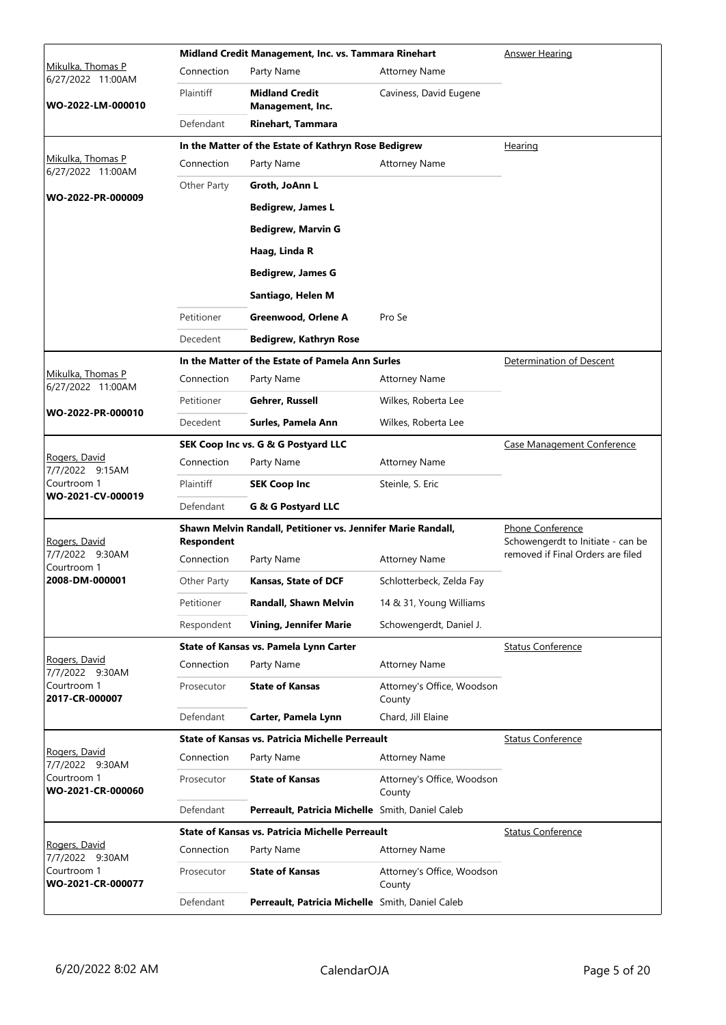|                                                 |                   | Midland Credit Management, Inc. vs. Tammara Rinehart         | Answer Hearing                                        |                                   |
|-------------------------------------------------|-------------------|--------------------------------------------------------------|-------------------------------------------------------|-----------------------------------|
| Mikulka, Thomas P<br>6/27/2022 11:00AM          | Connection        | Party Name                                                   | <b>Attorney Name</b>                                  |                                   |
| WO-2022-LM-000010                               | Plaintiff         | <b>Midland Credit</b><br>Management, Inc.                    | Caviness, David Eugene                                |                                   |
|                                                 | Defendant         | <b>Rinehart, Tammara</b>                                     |                                                       |                                   |
|                                                 |                   | In the Matter of the Estate of Kathryn Rose Bedigrew         |                                                       | Hearing                           |
| Mikulka, Thomas P<br>6/27/2022 11:00AM          | Connection        | Party Name                                                   | <b>Attorney Name</b>                                  |                                   |
|                                                 | Other Party       | Groth, JoAnn L                                               |                                                       |                                   |
| WO-2022-PR-000009                               |                   | <b>Bedigrew, James L</b>                                     |                                                       |                                   |
|                                                 |                   | <b>Bedigrew, Marvin G</b>                                    |                                                       |                                   |
|                                                 |                   | Haag, Linda R                                                |                                                       |                                   |
|                                                 |                   | <b>Bedigrew, James G</b>                                     |                                                       |                                   |
|                                                 |                   | Santiago, Helen M                                            |                                                       |                                   |
|                                                 | Petitioner        | Greenwood, Orlene A                                          | Pro Se                                                |                                   |
|                                                 | Decedent          | <b>Bedigrew, Kathryn Rose</b>                                |                                                       |                                   |
|                                                 |                   | In the Matter of the Estate of Pamela Ann Surles             |                                                       | Determination of Descent          |
| Mikulka, Thomas P<br>6/27/2022 11:00AM          | Connection        | Party Name                                                   | <b>Attorney Name</b>                                  |                                   |
|                                                 | Petitioner        | Gehrer, Russell                                              | Wilkes, Roberta Lee                                   |                                   |
| WO-2022-PR-000010                               | Decedent          | Surles, Pamela Ann                                           | Wilkes, Roberta Lee                                   |                                   |
|                                                 |                   | SEK Coop Inc vs. G & G Postyard LLC                          |                                                       | Case Management Conference        |
| Rogers, David<br>7/7/2022 9:15AM<br>Courtroom 1 | Connection        | Party Name                                                   | <b>Attorney Name</b>                                  |                                   |
|                                                 | Plaintiff         | <b>SEK Coop Inc</b>                                          | Steinle, S. Eric                                      |                                   |
| WO-2021-CV-000019                               | Defendant         | G & G Postyard LLC                                           |                                                       |                                   |
| Rogers, David                                   | <b>Respondent</b> | Shawn Melvin Randall, Petitioner vs. Jennifer Marie Randall, | Phone Conference<br>Schowengerdt to Initiate - can be |                                   |
| 7/7/2022 9:30AM<br>Courtroom 1                  | Connection        | Party Name                                                   | <b>Attorney Name</b>                                  | removed if Final Orders are filed |
| 2008-DM-000001                                  | Other Party       | <b>Kansas, State of DCF</b>                                  | Schlotterbeck, Zelda Fay                              |                                   |
|                                                 | Petitioner        | Randall, Shawn Melvin                                        | 14 & 31, Young Williams                               |                                   |
|                                                 | Respondent        | <b>Vining, Jennifer Marie</b>                                | Schowengerdt, Daniel J.                               |                                   |
|                                                 |                   | State of Kansas vs. Pamela Lynn Carter                       |                                                       | <b>Status Conference</b>          |
| Rogers, David<br>7/7/2022 9:30AM                | Connection        | Party Name                                                   | <b>Attorney Name</b>                                  |                                   |
| Courtroom 1<br>2017-CR-000007                   | Prosecutor        | <b>State of Kansas</b>                                       | Attorney's Office, Woodson<br>County                  |                                   |
|                                                 | Defendant         | Carter, Pamela Lynn                                          | Chard, Jill Elaine                                    |                                   |
|                                                 |                   | <b>State of Kansas vs. Patricia Michelle Perreault</b>       |                                                       | <b>Status Conference</b>          |
| Rogers, David<br>7/7/2022 9:30AM                | Connection        | Party Name                                                   | <b>Attorney Name</b>                                  |                                   |
| Courtroom 1<br>WO-2021-CR-000060                | Prosecutor        | <b>State of Kansas</b>                                       | Attorney's Office, Woodson<br>County                  |                                   |
|                                                 | Defendant         | Perreault, Patricia Michelle Smith, Daniel Caleb             |                                                       |                                   |
|                                                 |                   | <b>State of Kansas vs. Patricia Michelle Perreault</b>       |                                                       | <b>Status Conference</b>          |
| Rogers, David<br>7/7/2022 9:30AM                | Connection        | Party Name                                                   | <b>Attorney Name</b>                                  |                                   |
| Courtroom 1<br>WO-2021-CR-000077                | Prosecutor        | <b>State of Kansas</b>                                       | Attorney's Office, Woodson<br>County                  |                                   |
|                                                 | Defendant         | Perreault, Patricia Michelle Smith, Daniel Caleb             |                                                       |                                   |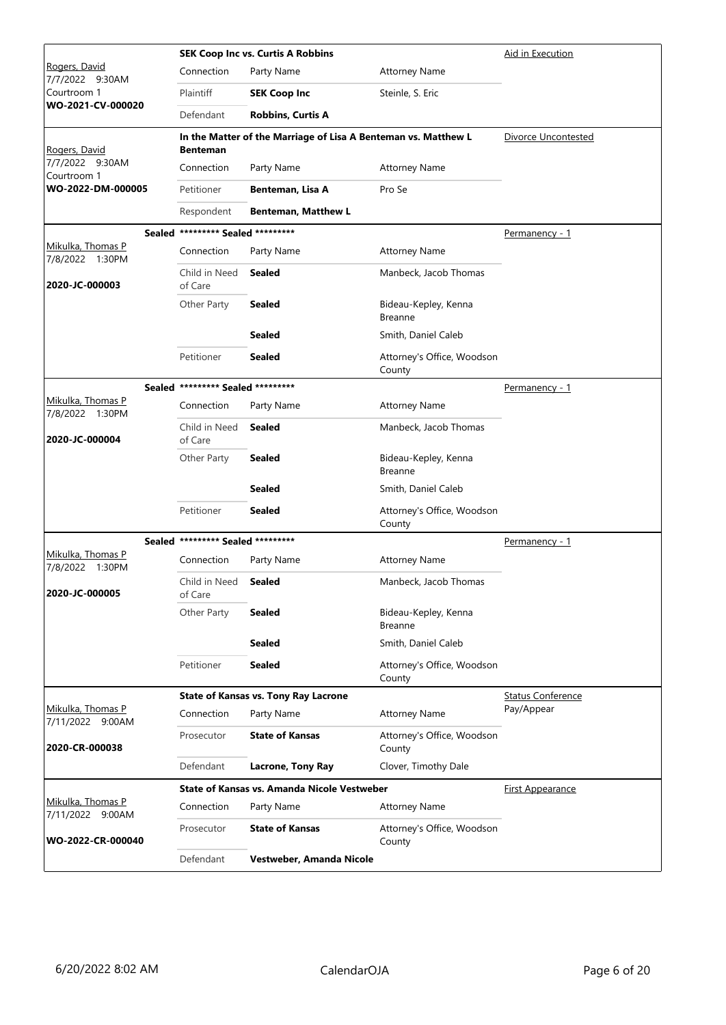|                                       |                                   | <b>SEK Coop Inc vs. Curtis A Robbins</b>                       | Aid in Execution                       |                          |
|---------------------------------------|-----------------------------------|----------------------------------------------------------------|----------------------------------------|--------------------------|
| Rogers, David<br>7/7/2022 9:30AM      | Connection                        | Party Name                                                     | <b>Attorney Name</b>                   |                          |
| Courtroom 1                           | Plaintiff                         | <b>SEK Coop Inc</b>                                            | Steinle, S. Eric                       |                          |
| WO-2021-CV-000020                     | Defendant                         | <b>Robbins, Curtis A</b>                                       |                                        |                          |
| Rogers, David                         | <b>Benteman</b>                   | In the Matter of the Marriage of Lisa A Benteman vs. Matthew L |                                        | Divorce Uncontested      |
| 7/7/2022 9:30AM<br>Courtroom 1        | Connection                        | Party Name                                                     | <b>Attorney Name</b>                   |                          |
| WO-2022-DM-000005                     | Petitioner                        | Benteman, Lisa A                                               | Pro Se                                 |                          |
|                                       | Respondent                        | <b>Benteman, Matthew L</b>                                     |                                        |                          |
|                                       | Sealed ********* Sealed ********* |                                                                |                                        | Permanency - 1           |
| Mikulka, Thomas P<br>7/8/2022 1:30PM  | Connection                        | Party Name                                                     | <b>Attorney Name</b>                   |                          |
| 2020-JC-000003                        | Child in Need<br>of Care          | <b>Sealed</b>                                                  | Manbeck, Jacob Thomas                  |                          |
|                                       | Other Party                       | <b>Sealed</b>                                                  | Bideau-Kepley, Kenna<br><b>Breanne</b> |                          |
|                                       |                                   | <b>Sealed</b>                                                  | Smith, Daniel Caleb                    |                          |
|                                       | Petitioner                        | <b>Sealed</b>                                                  | Attorney's Office, Woodson<br>County   |                          |
|                                       | Sealed ********* Sealed ********* |                                                                |                                        | Permanency - 1           |
| Mikulka, Thomas P<br>7/8/2022 1:30PM  | Connection                        | Party Name                                                     | <b>Attorney Name</b>                   |                          |
| 2020-JC-000004                        | Child in Need<br>of Care          | <b>Sealed</b>                                                  | Manbeck, Jacob Thomas                  |                          |
|                                       | Other Party                       | <b>Sealed</b>                                                  | Bideau-Kepley, Kenna<br><b>Breanne</b> |                          |
|                                       |                                   | <b>Sealed</b>                                                  | Smith, Daniel Caleb                    |                          |
|                                       | Petitioner                        | <b>Sealed</b>                                                  | Attorney's Office, Woodson<br>County   |                          |
|                                       | Sealed ********* Sealed ********* |                                                                |                                        | <u>Permanency - 1</u>    |
| Mikulka, Thomas P<br>7/8/2022 1:30PM  | Connection                        | Party Name                                                     | <b>Attorney Name</b>                   |                          |
| 2020-JC-000005                        | Child in Need<br>of Care          | <b>Sealed</b>                                                  | Manbeck, Jacob Thomas                  |                          |
|                                       | Other Party                       | <b>Sealed</b>                                                  | Bideau-Kepley, Kenna<br><b>Breanne</b> |                          |
|                                       |                                   | <b>Sealed</b>                                                  | Smith, Daniel Caleb                    |                          |
|                                       | Petitioner                        | <b>Sealed</b>                                                  | Attorney's Office, Woodson<br>County   |                          |
|                                       |                                   | <b>State of Kansas vs. Tony Ray Lacrone</b>                    |                                        | <b>Status Conference</b> |
| Mikulka, Thomas P<br>7/11/2022 9:00AM | Connection                        | Party Name                                                     | <b>Attorney Name</b>                   | Pay/Appear               |
| 2020-CR-000038                        | Prosecutor                        | <b>State of Kansas</b>                                         | Attorney's Office, Woodson<br>County   |                          |
|                                       | Defendant                         | Lacrone, Tony Ray                                              | Clover, Timothy Dale                   |                          |
|                                       |                                   | <b>State of Kansas vs. Amanda Nicole Vestweber</b>             |                                        | <b>First Appearance</b>  |
| Mikulka, Thomas P<br>7/11/2022 9:00AM | Connection                        | Party Name                                                     | <b>Attorney Name</b>                   |                          |
| WO-2022-CR-000040                     | Prosecutor                        | <b>State of Kansas</b>                                         | Attorney's Office, Woodson<br>County   |                          |
|                                       | Defendant                         | Vestweber, Amanda Nicole                                       |                                        |                          |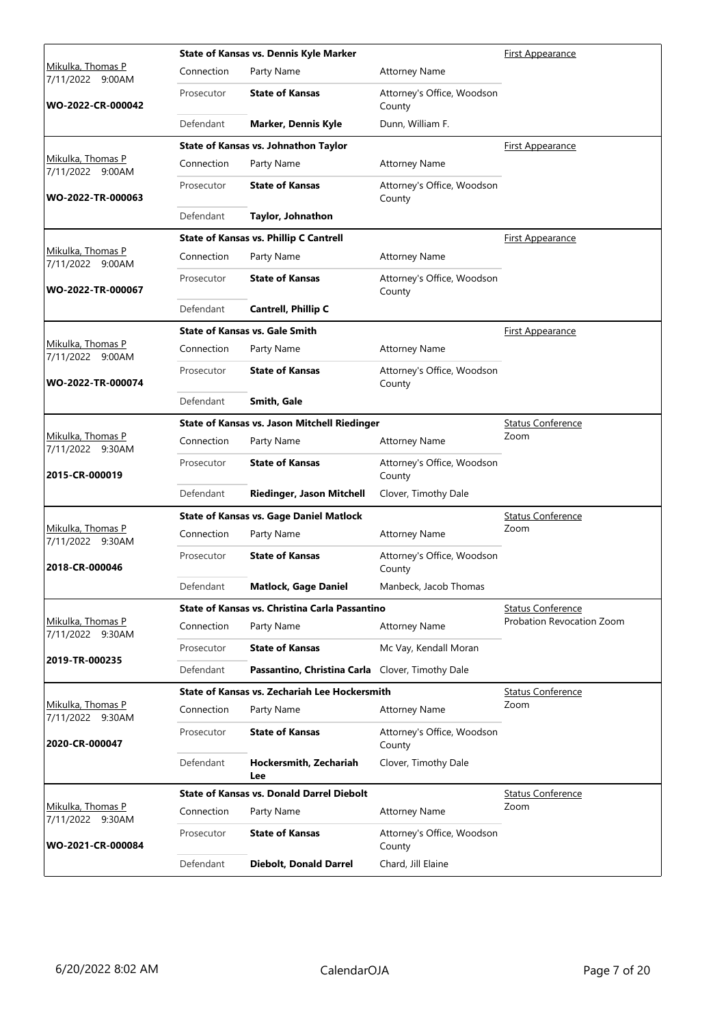|                                          |            | State of Kansas vs. Dennis Kyle Marker               | <u>First Appearance</u>              |                           |
|------------------------------------------|------------|------------------------------------------------------|--------------------------------------|---------------------------|
| Mikulka, Thomas P<br>7/11/2022<br>9:00AM | Connection | Party Name                                           | <b>Attorney Name</b>                 |                           |
| WO-2022-CR-000042                        | Prosecutor | <b>State of Kansas</b>                               | Attorney's Office, Woodson<br>County |                           |
|                                          | Defendant  | <b>Marker, Dennis Kyle</b>                           | Dunn, William F.                     |                           |
|                                          |            | State of Kansas vs. Johnathon Taylor                 |                                      | First Appearance          |
| Mikulka, Thomas P<br>7/11/2022 9:00AM    | Connection | Party Name                                           | <b>Attorney Name</b>                 |                           |
| WO-2022-TR-000063                        | Prosecutor | <b>State of Kansas</b>                               | Attorney's Office, Woodson<br>County |                           |
|                                          | Defendant  | Taylor, Johnathon                                    |                                      |                           |
|                                          |            | <b>State of Kansas vs. Phillip C Cantrell</b>        |                                      | <b>First Appearance</b>   |
| Mikulka, Thomas P<br>7/11/2022 9:00AM    | Connection | Party Name                                           | <b>Attorney Name</b>                 |                           |
| WO-2022-TR-000067                        | Prosecutor | <b>State of Kansas</b>                               | Attorney's Office, Woodson<br>County |                           |
|                                          | Defendant  | <b>Cantrell, Phillip C</b>                           |                                      |                           |
|                                          |            | <b>State of Kansas vs. Gale Smith</b>                |                                      | <u>First Appearance</u>   |
| Mikulka, Thomas P<br>7/11/2022 9:00AM    | Connection | Party Name                                           | <b>Attorney Name</b>                 |                           |
| WO-2022-TR-000074                        | Prosecutor | <b>State of Kansas</b>                               | Attorney's Office, Woodson<br>County |                           |
|                                          | Defendant  | Smith, Gale                                          |                                      |                           |
|                                          |            | State of Kansas vs. Jason Mitchell Riedinger         |                                      | <b>Status Conference</b>  |
| Mikulka, Thomas P<br>7/11/2022 9:30AM    | Connection | Party Name                                           | <b>Attorney Name</b>                 | Zoom                      |
| 2015-CR-000019                           | Prosecutor | <b>State of Kansas</b>                               | Attorney's Office, Woodson<br>County |                           |
|                                          | Defendant  | Riedinger, Jason Mitchell                            | Clover, Timothy Dale                 |                           |
|                                          |            | <b>State of Kansas vs. Gage Daniel Matlock</b>       |                                      | <b>Status Conference</b>  |
| Mikulka, Thomas P<br>7/11/2022 9:30AM    | Connection | Party Name                                           | <b>Attorney Name</b>                 | Zoom                      |
| 2018-CR-000046                           | Prosecutor | <b>State of Kansas</b>                               | Attorney's Office, Woodson<br>County |                           |
|                                          | Defendant  | <b>Matlock, Gage Daniel</b>                          | Manbeck, Jacob Thomas                |                           |
|                                          |            | State of Kansas vs. Christina Carla Passantino       |                                      | <b>Status Conference</b>  |
| Mikulka, Thomas P<br>7/11/2022 9:30AM    | Connection | Party Name                                           | <b>Attorney Name</b>                 | Probation Revocation Zoom |
|                                          | Prosecutor | <b>State of Kansas</b>                               | Mc Vay, Kendall Moran                |                           |
| 2019-TR-000235                           | Defendant  | Passantino, Christina Carla Clover, Timothy Dale     |                                      |                           |
|                                          |            | <b>State of Kansas vs. Zechariah Lee Hockersmith</b> |                                      | <b>Status Conference</b>  |
| Mikulka, Thomas P<br>7/11/2022 9:30AM    | Connection | Party Name                                           | <b>Attorney Name</b>                 | Zoom                      |
| 2020-CR-000047                           | Prosecutor | <b>State of Kansas</b>                               | Attorney's Office, Woodson<br>County |                           |
|                                          | Defendant  | Hockersmith, Zechariah<br>Lee                        | Clover, Timothy Dale                 |                           |
|                                          |            | <b>State of Kansas vs. Donald Darrel Diebolt</b>     |                                      | <b>Status Conference</b>  |
| Mikulka, Thomas P<br>7/11/2022 9:30AM    | Connection | Party Name                                           | <b>Attorney Name</b>                 | Zoom                      |
| WO-2021-CR-000084                        | Prosecutor | <b>State of Kansas</b>                               | Attorney's Office, Woodson<br>County |                           |
|                                          | Defendant  | <b>Diebolt, Donald Darrel</b>                        | Chard, Jill Elaine                   |                           |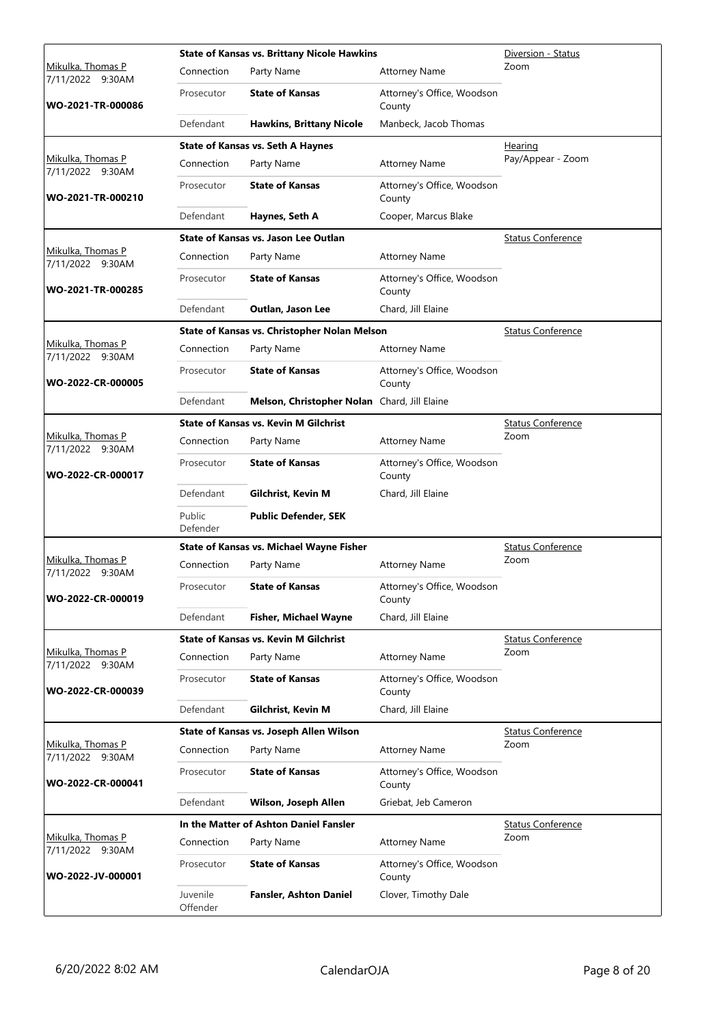|                                       | <b>State of Kansas vs. Brittany Nicole Hawkins</b> | Diversion - Status                           |                                      |                          |
|---------------------------------------|----------------------------------------------------|----------------------------------------------|--------------------------------------|--------------------------|
| Mikulka, Thomas P<br>7/11/2022 9:30AM | Connection                                         | Party Name                                   | <b>Attorney Name</b>                 | Zoom                     |
| WO-2021-TR-000086                     | Prosecutor                                         | <b>State of Kansas</b>                       | Attorney's Office, Woodson<br>County |                          |
|                                       | Defendant                                          | <b>Hawkins, Brittany Nicole</b>              | Manbeck, Jacob Thomas                |                          |
|                                       |                                                    | <b>State of Kansas vs. Seth A Haynes</b>     |                                      | Hearing                  |
| Mikulka, Thomas P<br>7/11/2022 9:30AM | Connection                                         | Party Name                                   | <b>Attorney Name</b>                 | Pay/Appear - Zoom        |
| WO-2021-TR-000210                     | Prosecutor                                         | <b>State of Kansas</b>                       | Attorney's Office, Woodson<br>County |                          |
|                                       | Defendant                                          | Haynes, Seth A                               | Cooper, Marcus Blake                 |                          |
|                                       |                                                    | State of Kansas vs. Jason Lee Outlan         |                                      | <b>Status Conference</b> |
| Mikulka, Thomas P<br>7/11/2022 9:30AM | Connection                                         | Party Name                                   | <b>Attorney Name</b>                 |                          |
| WO-2021-TR-000285                     | Prosecutor                                         | <b>State of Kansas</b>                       | Attorney's Office, Woodson<br>County |                          |
|                                       | Defendant                                          | Outlan, Jason Lee                            | Chard, Jill Elaine                   |                          |
|                                       |                                                    | State of Kansas vs. Christopher Nolan Melson |                                      | <b>Status Conference</b> |
| Mikulka, Thomas P<br>7/11/2022 9:30AM | Connection                                         | Party Name                                   | <b>Attorney Name</b>                 |                          |
| WO-2022-CR-000005                     | Prosecutor                                         | <b>State of Kansas</b>                       | Attorney's Office, Woodson<br>County |                          |
|                                       | Defendant                                          | Melson, Christopher Nolan Chard, Jill Elaine |                                      |                          |
|                                       |                                                    | <b>State of Kansas vs. Kevin M Gilchrist</b> |                                      | <b>Status Conference</b> |
| Mikulka, Thomas P<br>7/11/2022 9:30AM | Connection                                         | Party Name                                   | <b>Attorney Name</b>                 | Zoom                     |
| WO-2022-CR-000017                     | Prosecutor                                         | <b>State of Kansas</b>                       | Attorney's Office, Woodson<br>County |                          |
|                                       | Defendant                                          | <b>Gilchrist, Kevin M</b>                    | Chard, Jill Elaine                   |                          |
|                                       | Public<br>Defender                                 | <b>Public Defender, SEK</b>                  |                                      |                          |
|                                       |                                                    | State of Kansas vs. Michael Wayne Fisher     |                                      | <b>Status Conference</b> |
| Mikulka, Thomas P<br>7/11/2022 9:30AM | Connection                                         | Party Name                                   | <b>Attorney Name</b>                 | Zoom                     |
| WO-2022-CR-000019                     | Prosecutor                                         | <b>State of Kansas</b>                       | Attorney's Office, Woodson<br>County |                          |
|                                       | Defendant                                          | <b>Fisher, Michael Wayne</b>                 | Chard, Jill Elaine                   |                          |
|                                       |                                                    | <b>State of Kansas vs. Kevin M Gilchrist</b> |                                      | <b>Status Conference</b> |
| Mikulka, Thomas P<br>7/11/2022 9:30AM | Connection                                         | Party Name                                   | <b>Attorney Name</b>                 | Zoom                     |
| WO-2022-CR-000039                     | Prosecutor                                         | <b>State of Kansas</b>                       | Attorney's Office, Woodson<br>County |                          |
|                                       | Defendant                                          | <b>Gilchrist, Kevin M</b>                    | Chard, Jill Elaine                   |                          |
|                                       |                                                    | State of Kansas vs. Joseph Allen Wilson      |                                      | <b>Status Conference</b> |
| Mikulka, Thomas P<br>7/11/2022 9:30AM | Connection                                         | Party Name                                   | <b>Attorney Name</b>                 | Zoom                     |
| WO-2022-CR-000041                     | Prosecutor                                         | <b>State of Kansas</b>                       | Attorney's Office, Woodson<br>County |                          |
|                                       | Defendant                                          | Wilson, Joseph Allen                         | Griebat, Jeb Cameron                 |                          |
|                                       |                                                    | In the Matter of Ashton Daniel Fansler       |                                      | <b>Status Conference</b> |
| Mikulka, Thomas P<br>7/11/2022 9:30AM | Connection                                         | Party Name                                   | <b>Attorney Name</b>                 | Zoom                     |
| WO-2022-JV-000001                     | Prosecutor                                         | <b>State of Kansas</b>                       | Attorney's Office, Woodson<br>County |                          |
|                                       | Juvenile<br>Offender                               | <b>Fansler, Ashton Daniel</b>                | Clover, Timothy Dale                 |                          |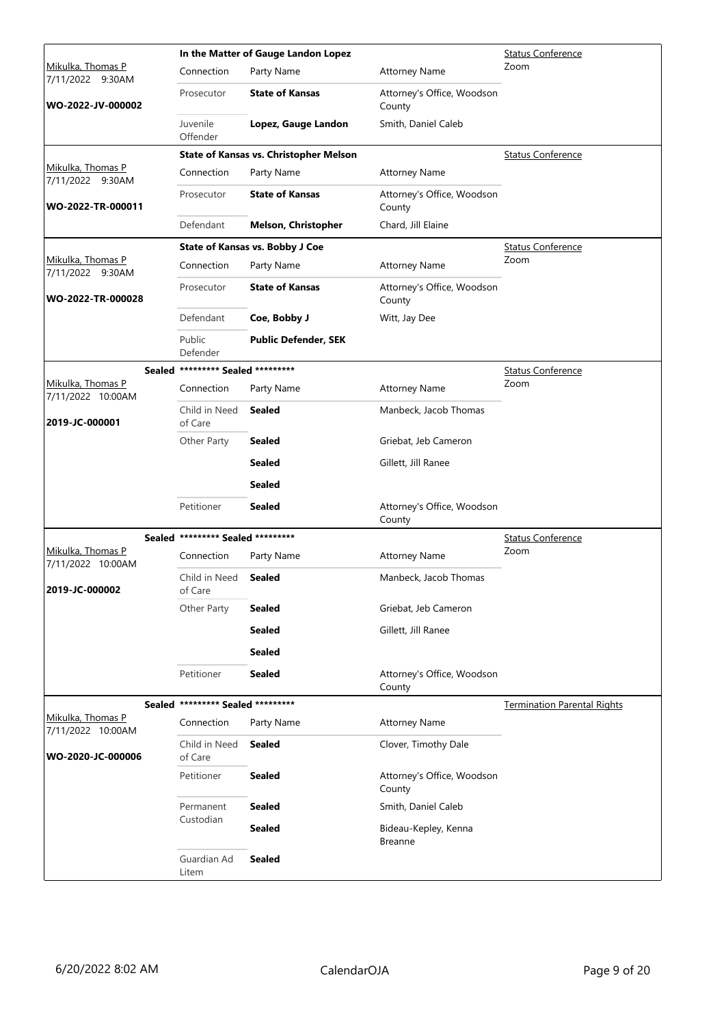|                                        |                                   | In the Matter of Gauge Landon Lopez           | <b>Status Conference</b>               |                                    |
|----------------------------------------|-----------------------------------|-----------------------------------------------|----------------------------------------|------------------------------------|
| Mikulka, Thomas P<br>7/11/2022 9:30AM  | Connection                        | Party Name                                    | <b>Attorney Name</b>                   | Zoom                               |
| WO-2022-JV-000002                      | Prosecutor                        | <b>State of Kansas</b>                        | Attorney's Office, Woodson<br>County   |                                    |
|                                        | Juvenile<br>Offender              | Lopez, Gauge Landon                           | Smith, Daniel Caleb                    |                                    |
|                                        |                                   | <b>State of Kansas vs. Christopher Melson</b> |                                        | <b>Status Conference</b>           |
| Mikulka, Thomas P<br>7/11/2022 9:30AM  | Connection                        | Party Name                                    | <b>Attorney Name</b>                   |                                    |
| WO-2022-TR-000011                      | Prosecutor                        | <b>State of Kansas</b>                        | Attorney's Office, Woodson<br>County   |                                    |
|                                        | Defendant                         | <b>Melson, Christopher</b>                    | Chard, Jill Elaine                     |                                    |
|                                        |                                   | State of Kansas vs. Bobby J Coe               |                                        | <b>Status Conference</b>           |
| Mikulka, Thomas P<br>7/11/2022 9:30AM  | Connection                        | Party Name                                    | <b>Attorney Name</b>                   | Zoom                               |
| WO-2022-TR-000028                      | Prosecutor                        | <b>State of Kansas</b>                        | Attorney's Office, Woodson<br>County   |                                    |
|                                        | Defendant                         | Coe, Bobby J                                  | Witt, Jay Dee                          |                                    |
|                                        | Public<br>Defender                | <b>Public Defender, SEK</b>                   |                                        |                                    |
|                                        | Sealed ********* Sealed ********* |                                               |                                        | <b>Status Conference</b>           |
| Mikulka, Thomas P<br>7/11/2022 10:00AM | Connection                        | Party Name                                    | <b>Attorney Name</b>                   | Zoom                               |
| 2019-JC-000001                         | Child in Need<br>of Care          | <b>Sealed</b>                                 | Manbeck, Jacob Thomas                  |                                    |
|                                        | Other Party                       | <b>Sealed</b>                                 | Griebat, Jeb Cameron                   |                                    |
|                                        |                                   | <b>Sealed</b>                                 | Gillett, Jill Ranee                    |                                    |
|                                        |                                   | <b>Sealed</b>                                 |                                        |                                    |
|                                        | Petitioner                        | <b>Sealed</b>                                 | Attorney's Office, Woodson<br>County   |                                    |
|                                        | Sealed ********* Sealed ********* |                                               |                                        | <b>Status Conference</b>           |
| Mikulka, Thomas P                      | Connection                        | Party Name                                    | <b>Attorney Name</b>                   | Zoom                               |
| 7/11/2022 10:00AM<br>2019-JC-000002    | Child in Need<br>of Care          | Sealed                                        | Manbeck, Jacob Thomas                  |                                    |
|                                        | Other Party                       | <b>Sealed</b>                                 | Griebat, Jeb Cameron                   |                                    |
|                                        |                                   | <b>Sealed</b>                                 | Gillett, Jill Ranee                    |                                    |
|                                        |                                   | <b>Sealed</b>                                 |                                        |                                    |
|                                        | Petitioner                        | <b>Sealed</b>                                 | Attorney's Office, Woodson<br>County   |                                    |
|                                        | Sealed ********* Sealed ********* |                                               |                                        | <b>Termination Parental Rights</b> |
| Mikulka, Thomas P                      | Connection                        | Party Name                                    | <b>Attorney Name</b>                   |                                    |
| 7/11/2022 10:00AM<br>WO-2020-JC-000006 | Child in Need<br>of Care          | <b>Sealed</b>                                 | Clover, Timothy Dale                   |                                    |
|                                        | Petitioner                        | <b>Sealed</b>                                 | Attorney's Office, Woodson<br>County   |                                    |
|                                        | Permanent                         | <b>Sealed</b>                                 | Smith, Daniel Caleb                    |                                    |
|                                        | Custodian                         | Sealed                                        | Bideau-Kepley, Kenna<br><b>Breanne</b> |                                    |
|                                        | Guardian Ad<br>Litem              | <b>Sealed</b>                                 |                                        |                                    |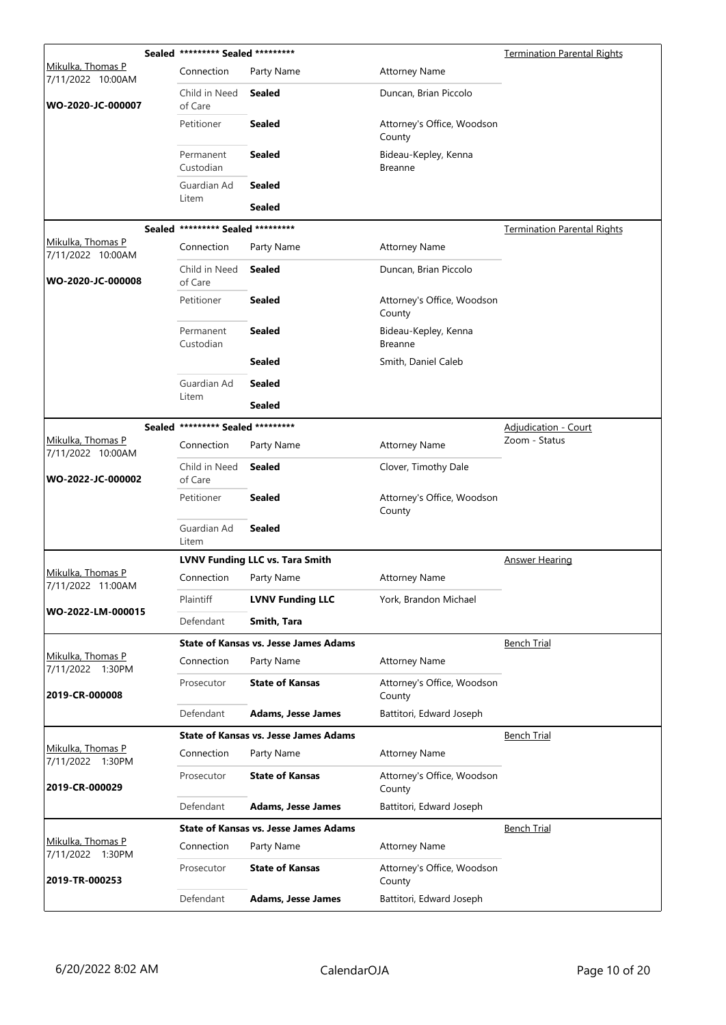|                                        | Sealed ********* Sealed ********* |                                              |                                        | <b>Termination Parental Rights</b> |
|----------------------------------------|-----------------------------------|----------------------------------------------|----------------------------------------|------------------------------------|
| Mikulka, Thomas P<br>7/11/2022 10:00AM | Connection                        | Party Name                                   | <b>Attorney Name</b>                   |                                    |
| WO-2020-JC-000007                      | Child in Need<br>of Care          | <b>Sealed</b>                                | Duncan, Brian Piccolo                  |                                    |
|                                        | Petitioner                        | <b>Sealed</b>                                | Attorney's Office, Woodson<br>County   |                                    |
|                                        | Permanent<br>Custodian            | <b>Sealed</b>                                | Bideau-Kepley, Kenna<br><b>Breanne</b> |                                    |
|                                        | Guardian Ad                       | <b>Sealed</b>                                |                                        |                                    |
|                                        | Litem                             | <b>Sealed</b>                                |                                        |                                    |
|                                        | Sealed ********* Sealed ********* |                                              |                                        | <b>Termination Parental Rights</b> |
| Mikulka, Thomas P<br>7/11/2022 10:00AM | Connection                        | Party Name                                   | <b>Attorney Name</b>                   |                                    |
| WO-2020-JC-000008                      | Child in Need<br>of Care          | <b>Sealed</b>                                | Duncan, Brian Piccolo                  |                                    |
|                                        | Petitioner                        | <b>Sealed</b>                                | Attorney's Office, Woodson<br>County   |                                    |
|                                        | Permanent<br>Custodian            | <b>Sealed</b>                                | Bideau-Kepley, Kenna<br><b>Breanne</b> |                                    |
|                                        |                                   | <b>Sealed</b>                                | Smith, Daniel Caleb                    |                                    |
|                                        | Guardian Ad                       | <b>Sealed</b>                                |                                        |                                    |
|                                        | Litem                             | <b>Sealed</b>                                |                                        |                                    |
|                                        | Sealed ********* Sealed ********* |                                              |                                        | <b>Adjudication - Court</b>        |
| Mikulka, Thomas P<br>7/11/2022 10:00AM | Connection                        | Party Name                                   | <b>Attorney Name</b>                   | Zoom - Status                      |
| WO-2022-JC-000002                      | Child in Need<br>of Care          | <b>Sealed</b>                                | Clover, Timothy Dale                   |                                    |
|                                        | Petitioner                        | <b>Sealed</b>                                | Attorney's Office, Woodson<br>County   |                                    |
|                                        | Guardian Ad<br>Litem              | <b>Sealed</b>                                |                                        |                                    |
|                                        |                                   | <b>LVNV Funding LLC vs. Tara Smith</b>       |                                        | <b>Answer Hearing</b>              |
| Mikulka, Thomas P<br>7/11/2022 11:00AM | Connection                        | Party Name                                   | <b>Attorney Name</b>                   |                                    |
|                                        | Plaintiff                         | <b>LVNV Funding LLC</b>                      | York, Brandon Michael                  |                                    |
| WO-2022-LM-000015                      | Defendant                         | Smith, Tara                                  |                                        |                                    |
|                                        |                                   | <b>State of Kansas vs. Jesse James Adams</b> |                                        | <b>Bench Trial</b>                 |
| Mikulka, Thomas P<br>7/11/2022 1:30PM  | Connection                        | Party Name                                   | <b>Attorney Name</b>                   |                                    |
| 2019-CR-000008                         | Prosecutor                        | <b>State of Kansas</b>                       | Attorney's Office, Woodson<br>County   |                                    |
|                                        | Defendant                         | <b>Adams, Jesse James</b>                    | Battitori, Edward Joseph               |                                    |
|                                        |                                   | <b>State of Kansas vs. Jesse James Adams</b> |                                        | <b>Bench Trial</b>                 |
| Mikulka, Thomas P<br>7/11/2022 1:30PM  | Connection                        | Party Name                                   | <b>Attorney Name</b>                   |                                    |
| 2019-CR-000029                         | Prosecutor                        | <b>State of Kansas</b>                       | Attorney's Office, Woodson<br>County   |                                    |
|                                        | Defendant                         | <b>Adams, Jesse James</b>                    | Battitori, Edward Joseph               |                                    |
|                                        |                                   | <b>State of Kansas vs. Jesse James Adams</b> |                                        | <b>Bench Trial</b>                 |
| Mikulka, Thomas P<br>7/11/2022 1:30PM  | Connection                        | Party Name                                   | <b>Attorney Name</b>                   |                                    |
| 2019-TR-000253                         | Prosecutor                        | <b>State of Kansas</b>                       | Attorney's Office, Woodson<br>County   |                                    |
|                                        | Defendant                         | <b>Adams, Jesse James</b>                    | Battitori, Edward Joseph               |                                    |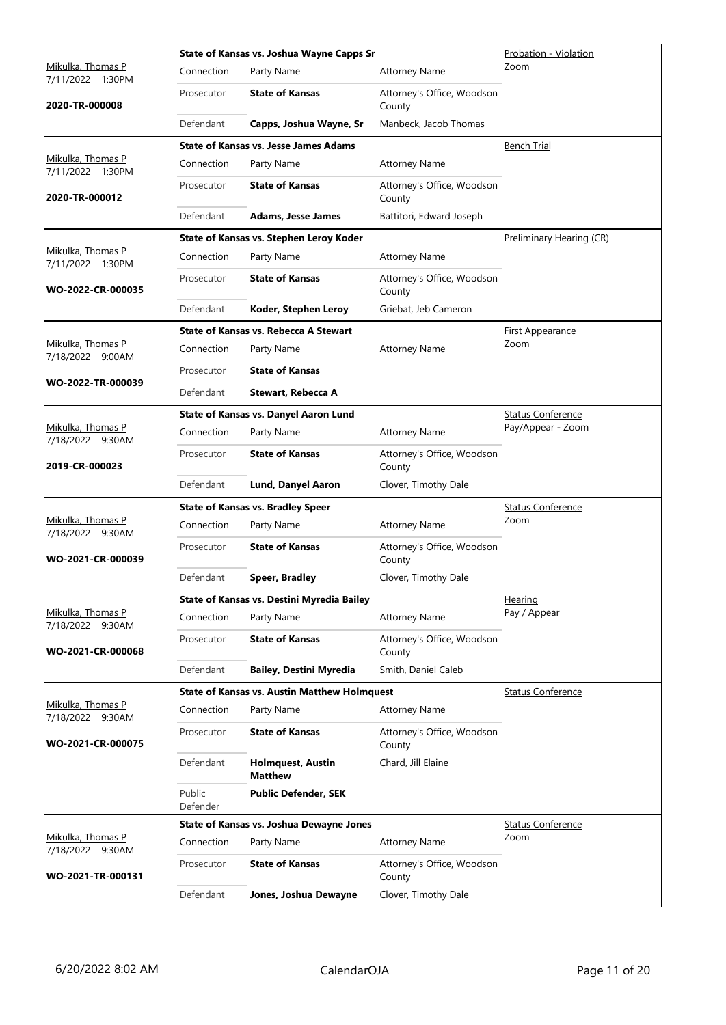|                                       |                    | State of Kansas vs. Joshua Wayne Capps Sr           |                                      | Probation - Violation    |
|---------------------------------------|--------------------|-----------------------------------------------------|--------------------------------------|--------------------------|
| Mikulka, Thomas P<br>7/11/2022 1:30PM | Connection         | Party Name                                          | <b>Attorney Name</b>                 | Zoom                     |
| 2020-TR-000008                        | Prosecutor         | <b>State of Kansas</b>                              | Attorney's Office, Woodson<br>County |                          |
|                                       | Defendant          | Capps, Joshua Wayne, Sr                             | Manbeck, Jacob Thomas                |                          |
|                                       |                    | <b>State of Kansas vs. Jesse James Adams</b>        |                                      | <b>Bench Trial</b>       |
| Mikulka, Thomas P<br>7/11/2022 1:30PM | Connection         | Party Name                                          | <b>Attorney Name</b>                 |                          |
| 2020-TR-000012                        | Prosecutor         | <b>State of Kansas</b>                              | Attorney's Office, Woodson<br>County |                          |
|                                       | Defendant          | <b>Adams, Jesse James</b>                           | Battitori, Edward Joseph             |                          |
|                                       |                    | State of Kansas vs. Stephen Leroy Koder             |                                      | Preliminary Hearing (CR) |
| Mikulka, Thomas P<br>7/11/2022 1:30PM | Connection         | Party Name                                          | <b>Attorney Name</b>                 |                          |
| WO-2022-CR-000035                     | Prosecutor         | <b>State of Kansas</b>                              | Attorney's Office, Woodson<br>County |                          |
|                                       | Defendant          | Koder, Stephen Leroy                                | Griebat, Jeb Cameron                 |                          |
|                                       |                    | <b>State of Kansas vs. Rebecca A Stewart</b>        |                                      | <u>First Appearance</u>  |
| Mikulka, Thomas P<br>7/18/2022 9:00AM | Connection         | Party Name                                          | <b>Attorney Name</b>                 | Zoom                     |
|                                       | Prosecutor         | <b>State of Kansas</b>                              |                                      |                          |
| WO-2022-TR-000039                     | Defendant          | Stewart, Rebecca A                                  |                                      |                          |
|                                       |                    | <b>State of Kansas vs. Danyel Aaron Lund</b>        |                                      | <b>Status Conference</b> |
| Mikulka, Thomas P<br>7/18/2022 9:30AM | Connection         | Party Name                                          | <b>Attorney Name</b>                 | Pay/Appear - Zoom        |
| 2019-CR-000023                        | Prosecutor         | <b>State of Kansas</b>                              | Attorney's Office, Woodson<br>County |                          |
|                                       | Defendant          | Lund, Danyel Aaron                                  | Clover, Timothy Dale                 |                          |
|                                       |                    | <b>State of Kansas vs. Bradley Speer</b>            |                                      | <b>Status Conference</b> |
| Mikulka, Thomas P<br>7/18/2022 9:30AM | Connection         | Party Name                                          | <b>Attorney Name</b>                 | Zoom                     |
| WO-2021-CR-000039                     | Prosecutor         | <b>State of Kansas</b>                              | Attorney's Office, Woodson<br>County |                          |
|                                       | Defendant          | <b>Speer, Bradley</b>                               | Clover, Timothy Dale                 |                          |
|                                       |                    | State of Kansas vs. Destini Myredia Bailey          |                                      | Hearing                  |
| Mikulka, Thomas P<br>7/18/2022 9:30AM | Connection         | Party Name                                          | <b>Attorney Name</b>                 | Pay / Appear             |
| WO-2021-CR-000068                     | Prosecutor         | <b>State of Kansas</b>                              | Attorney's Office, Woodson<br>County |                          |
|                                       | Defendant          | <b>Bailey, Destini Myredia</b>                      | Smith, Daniel Caleb                  |                          |
|                                       |                    | <b>State of Kansas vs. Austin Matthew Holmquest</b> |                                      | <b>Status Conference</b> |
| Mikulka, Thomas P<br>7/18/2022 9:30AM | Connection         | Party Name                                          | <b>Attorney Name</b>                 |                          |
| WO-2021-CR-000075                     | Prosecutor         | <b>State of Kansas</b>                              | Attorney's Office, Woodson<br>County |                          |
|                                       | Defendant          | <b>Holmquest, Austin</b><br><b>Matthew</b>          | Chard, Jill Elaine                   |                          |
|                                       | Public<br>Defender | <b>Public Defender, SEK</b>                         |                                      |                          |
|                                       |                    | State of Kansas vs. Joshua Dewayne Jones            |                                      | <b>Status Conference</b> |
| Mikulka, Thomas P<br>7/18/2022 9:30AM | Connection         | Party Name                                          | <b>Attorney Name</b>                 | Zoom                     |
| WO-2021-TR-000131                     | Prosecutor         | <b>State of Kansas</b>                              | Attorney's Office, Woodson<br>County |                          |
|                                       | Defendant          | Jones, Joshua Dewayne                               | Clover, Timothy Dale                 |                          |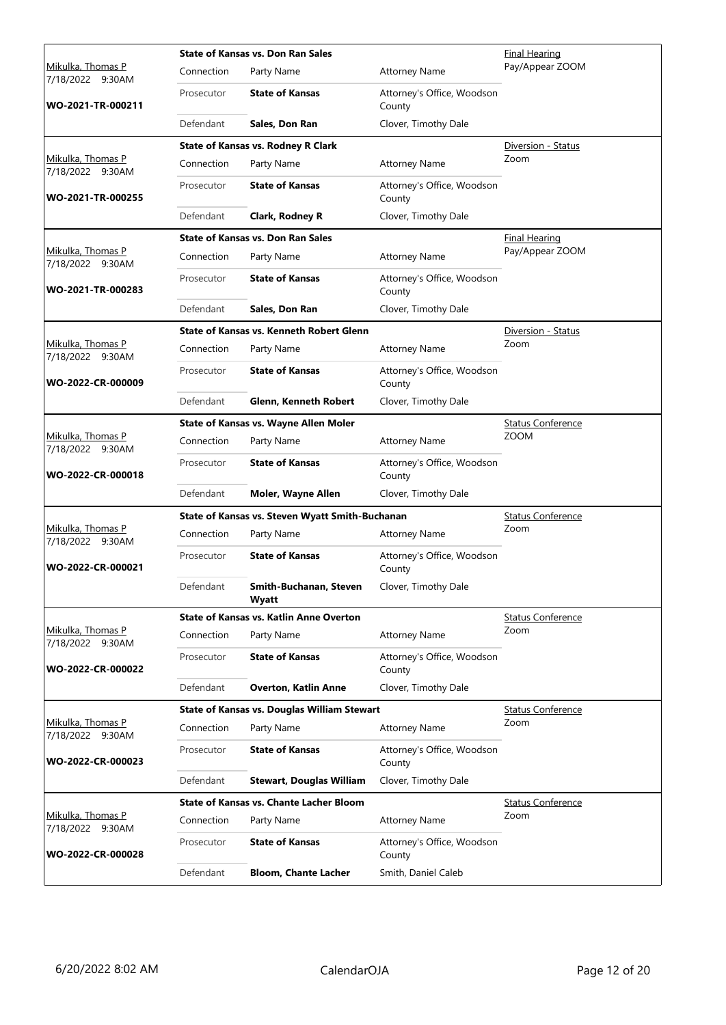|                                              |            | <b>State of Kansas vs. Don Ran Sales</b>           | <b>Final Hearing</b>                 |                          |
|----------------------------------------------|------------|----------------------------------------------------|--------------------------------------|--------------------------|
| <u>Mikulka, Thomas P</u><br>7/18/2022 9:30AM | Connection | Party Name                                         | <b>Attorney Name</b>                 | Pay/Appear ZOOM          |
| WO-2021-TR-000211                            | Prosecutor | <b>State of Kansas</b>                             | Attorney's Office, Woodson<br>County |                          |
|                                              | Defendant  | Sales, Don Ran                                     | Clover, Timothy Dale                 |                          |
|                                              |            | <b>State of Kansas vs. Rodney R Clark</b>          |                                      | Diversion - Status       |
| Mikulka, Thomas P<br>7/18/2022 9:30AM        | Connection | Party Name                                         | <b>Attorney Name</b>                 | Zoom                     |
| WO-2021-TR-000255                            | Prosecutor | <b>State of Kansas</b>                             | Attorney's Office, Woodson<br>County |                          |
|                                              | Defendant  | Clark, Rodney R                                    | Clover, Timothy Dale                 |                          |
|                                              |            | <b>State of Kansas vs. Don Ran Sales</b>           |                                      | <b>Final Hearing</b>     |
| Mikulka, Thomas P<br>7/18/2022 9:30AM        | Connection | Party Name                                         | <b>Attorney Name</b>                 | Pay/Appear ZOOM          |
| WO-2021-TR-000283                            | Prosecutor | <b>State of Kansas</b>                             | Attorney's Office, Woodson<br>County |                          |
|                                              | Defendant  | Sales, Don Ran                                     | Clover, Timothy Dale                 |                          |
|                                              |            | <b>State of Kansas vs. Kenneth Robert Glenn</b>    |                                      | Diversion - Status       |
| <u>Mikulka, Thomas P</u><br>7/18/2022 9:30AM | Connection | Party Name                                         | <b>Attorney Name</b>                 | Zoom                     |
| WO-2022-CR-000009                            | Prosecutor | <b>State of Kansas</b>                             | Attorney's Office, Woodson<br>County |                          |
|                                              | Defendant  | Glenn, Kenneth Robert                              | Clover, Timothy Dale                 |                          |
|                                              |            | State of Kansas vs. Wayne Allen Moler              |                                      | <b>Status Conference</b> |
| Mikulka, Thomas P<br>7/18/2022 9:30AM        | Connection | Party Name                                         | <b>Attorney Name</b>                 | <b>ZOOM</b>              |
| WO-2022-CR-000018                            | Prosecutor | <b>State of Kansas</b>                             | Attorney's Office, Woodson<br>County |                          |
|                                              | Defendant  | Moler, Wayne Allen                                 | Clover, Timothy Dale                 |                          |
|                                              |            | State of Kansas vs. Steven Wyatt Smith-Buchanan    |                                      | <b>Status Conference</b> |
| Mikulka, Thomas P<br>7/18/2022 9:30AM        | Connection | Party Name                                         | <b>Attorney Name</b>                 | Zoom                     |
| WO-2022-CR-000021                            | Prosecutor | <b>State of Kansas</b>                             | Attorney's Office, Woodson<br>County |                          |
|                                              | Defendant  | Smith-Buchanan, Steven<br>Wyatt                    | Clover, Timothy Dale                 |                          |
|                                              |            | <b>State of Kansas vs. Katlin Anne Overton</b>     |                                      | <b>Status Conference</b> |
| Mikulka, Thomas P<br>7/18/2022 9:30AM        | Connection | Party Name                                         | <b>Attorney Name</b>                 | Zoom                     |
| WO-2022-CR-000022                            | Prosecutor | <b>State of Kansas</b>                             | Attorney's Office, Woodson<br>County |                          |
|                                              | Defendant  | <b>Overton, Katlin Anne</b>                        | Clover, Timothy Dale                 |                          |
|                                              |            | <b>State of Kansas vs. Douglas William Stewart</b> |                                      | <b>Status Conference</b> |
| Mikulka, Thomas P<br>7/18/2022 9:30AM        | Connection | Party Name                                         | <b>Attorney Name</b>                 | Zoom                     |
| WO-2022-CR-000023                            | Prosecutor | <b>State of Kansas</b>                             | Attorney's Office, Woodson<br>County |                          |
|                                              | Defendant  | <b>Stewart, Douglas William</b>                    | Clover, Timothy Dale                 |                          |
|                                              |            | <b>State of Kansas vs. Chante Lacher Bloom</b>     |                                      | <b>Status Conference</b> |
| Mikulka, Thomas P<br>7/18/2022 9:30AM        | Connection | Party Name                                         | <b>Attorney Name</b>                 | Zoom                     |
| WO-2022-CR-000028                            | Prosecutor | <b>State of Kansas</b>                             | Attorney's Office, Woodson<br>County |                          |
|                                              | Defendant  | <b>Bloom, Chante Lacher</b>                        | Smith, Daniel Caleb                  |                          |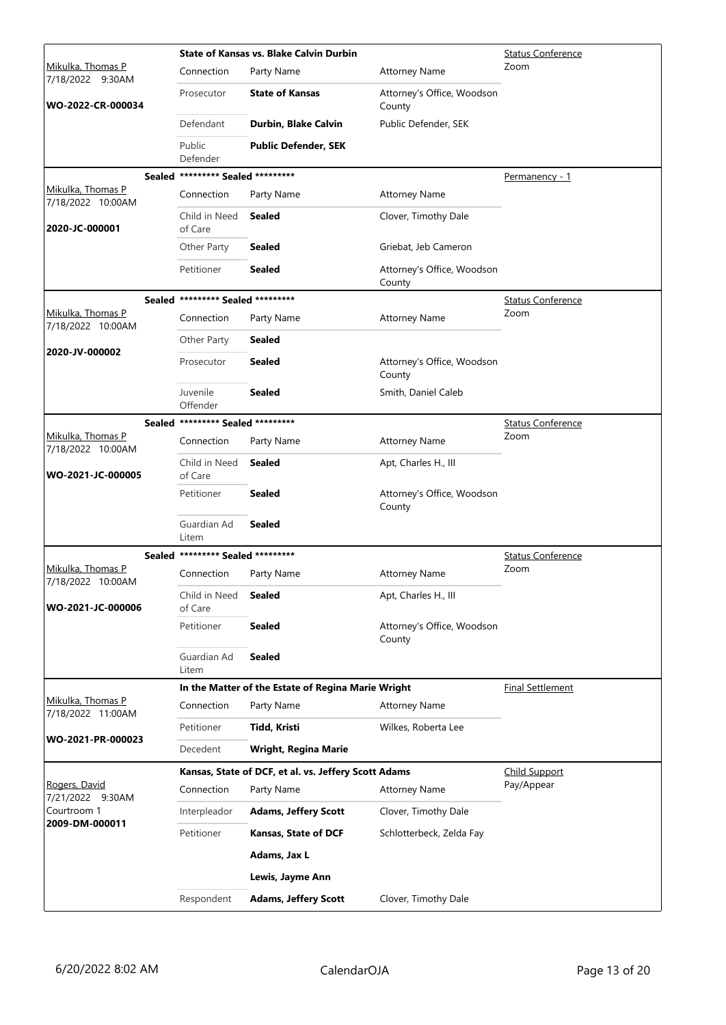|                                        |                                   | <b>State of Kansas vs. Blake Calvin Durbin</b>       | <b>Status Conference</b>             |                          |
|----------------------------------------|-----------------------------------|------------------------------------------------------|--------------------------------------|--------------------------|
| Mikulka, Thomas P<br>7/18/2022 9:30AM  | Connection                        | Party Name                                           | <b>Attorney Name</b>                 | Zoom                     |
| WO-2022-CR-000034                      | Prosecutor                        | <b>State of Kansas</b>                               | Attorney's Office, Woodson<br>County |                          |
|                                        | Defendant                         | Durbin, Blake Calvin                                 | Public Defender, SEK                 |                          |
|                                        | Public<br>Defender                | <b>Public Defender, SEK</b>                          |                                      |                          |
|                                        | Sealed ********* Sealed ********* |                                                      |                                      | Permanency - 1           |
| Mikulka, Thomas P<br>7/18/2022 10:00AM | Connection                        | Party Name                                           | <b>Attorney Name</b>                 |                          |
| 2020-JC-000001                         | Child in Need<br>of Care          | <b>Sealed</b>                                        | Clover, Timothy Dale                 |                          |
|                                        | Other Party                       | <b>Sealed</b>                                        | Griebat, Jeb Cameron                 |                          |
|                                        | Petitioner                        | <b>Sealed</b>                                        | Attorney's Office, Woodson<br>County |                          |
|                                        | Sealed ********* Sealed ********* |                                                      |                                      | <b>Status Conference</b> |
| Mikulka, Thomas P<br>7/18/2022 10:00AM | Connection                        | Party Name                                           | <b>Attorney Name</b>                 | Zoom                     |
| 2020-JV-000002                         | Other Party                       | <b>Sealed</b>                                        |                                      |                          |
|                                        | Prosecutor                        | <b>Sealed</b>                                        | Attorney's Office, Woodson<br>County |                          |
|                                        | Juvenile<br>Offender              | <b>Sealed</b>                                        | Smith, Daniel Caleb                  |                          |
|                                        | Sealed ********* Sealed ********* |                                                      |                                      | <b>Status Conference</b> |
| Mikulka, Thomas P<br>7/18/2022 10:00AM | Connection                        | Party Name                                           | <b>Attorney Name</b>                 | Zoom                     |
| WO-2021-JC-000005                      | Child in Need<br>of Care          | <b>Sealed</b>                                        | Apt, Charles H., III                 |                          |
|                                        | Petitioner                        | <b>Sealed</b>                                        | Attorney's Office, Woodson<br>County |                          |
|                                        | Guardian Ad<br>Litem              | <b>Sealed</b>                                        |                                      |                          |
|                                        | Sealed ********* Sealed ********* |                                                      |                                      | <b>Status Conference</b> |
| Mikulka, Thomas P<br>7/18/2022 10:00AM | Connection                        | Party Name                                           | <b>Attorney Name</b>                 | Zoom                     |
| WO-2021-JC-000006                      | Child in Need<br>of Care          | Sealed                                               | Apt, Charles H., III                 |                          |
|                                        | Petitioner                        | <b>Sealed</b>                                        | Attorney's Office, Woodson<br>County |                          |
|                                        | Guardian Ad<br>Litem              | <b>Sealed</b>                                        |                                      |                          |
|                                        |                                   | In the Matter of the Estate of Regina Marie Wright   |                                      | <b>Final Settlement</b>  |
| Mikulka, Thomas P<br>7/18/2022 11:00AM | Connection                        | Party Name                                           | <b>Attorney Name</b>                 |                          |
| WO-2021-PR-000023                      | Petitioner                        | Tidd, Kristi                                         | Wilkes, Roberta Lee                  |                          |
|                                        | Decedent                          | <b>Wright, Regina Marie</b>                          |                                      |                          |
|                                        |                                   | Kansas, State of DCF, et al. vs. Jeffery Scott Adams |                                      | <b>Child Support</b>     |
| Rogers, David<br>7/21/2022 9:30AM      | Connection                        | Party Name                                           | <b>Attorney Name</b>                 | Pay/Appear               |
| Courtroom 1<br>2009-DM-000011          | Interpleador                      | <b>Adams, Jeffery Scott</b>                          | Clover, Timothy Dale                 |                          |
|                                        | Petitioner                        | <b>Kansas, State of DCF</b>                          | Schlotterbeck, Zelda Fay             |                          |
|                                        |                                   | Adams, Jax L                                         |                                      |                          |
|                                        |                                   | Lewis, Jayme Ann                                     |                                      |                          |
|                                        | Respondent                        | <b>Adams, Jeffery Scott</b>                          | Clover, Timothy Dale                 |                          |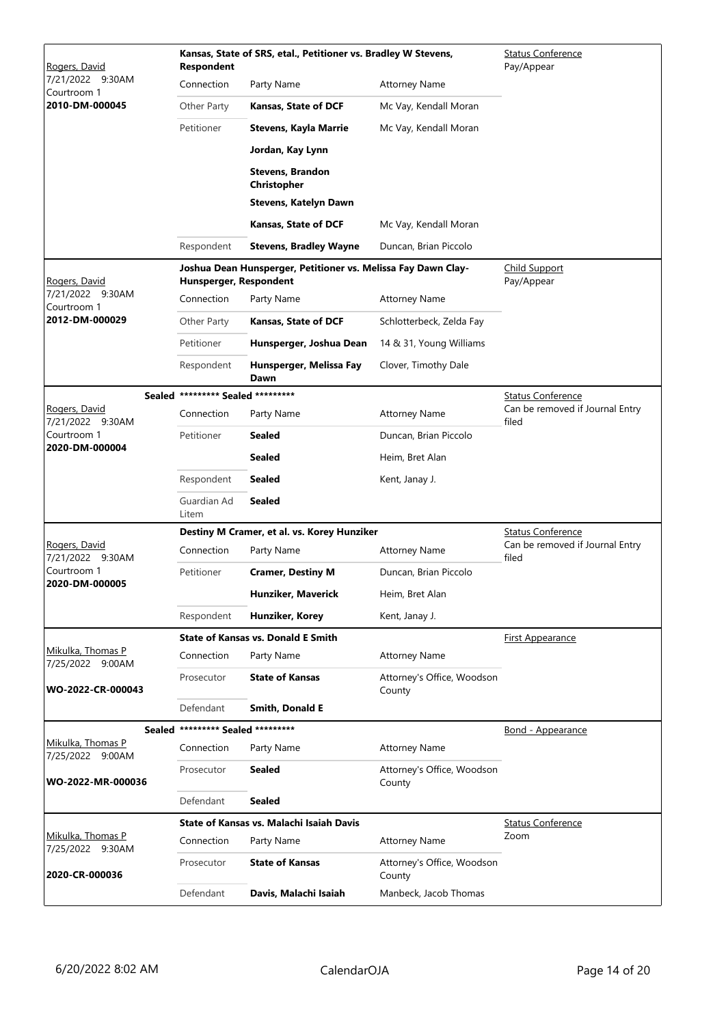| Rogers, David                         | <b>Respondent</b>                 | Kansas, State of SRS, etal., Petitioner vs. Bradley W Stevens, | <b>Status Conference</b><br>Pay/Appear |                                          |
|---------------------------------------|-----------------------------------|----------------------------------------------------------------|----------------------------------------|------------------------------------------|
| 7/21/2022 9:30AM<br>Courtroom 1       | Connection                        | Party Name                                                     | <b>Attorney Name</b>                   |                                          |
| 2010-DM-000045                        | Other Party                       | Kansas, State of DCF                                           | Mc Vay, Kendall Moran                  |                                          |
|                                       | Petitioner                        | <b>Stevens, Kayla Marrie</b>                                   | Mc Vay, Kendall Moran                  |                                          |
|                                       |                                   | Jordan, Kay Lynn                                               |                                        |                                          |
|                                       |                                   | <b>Stevens, Brandon</b><br>Christopher                         |                                        |                                          |
|                                       |                                   | <b>Stevens, Katelyn Dawn</b>                                   |                                        |                                          |
|                                       |                                   | <b>Kansas, State of DCF</b>                                    | Mc Vay, Kendall Moran                  |                                          |
|                                       | Respondent                        | <b>Stevens, Bradley Wayne</b>                                  | Duncan, Brian Piccolo                  |                                          |
| Rogers, David                         | Hunsperger, Respondent            | Joshua Dean Hunsperger, Petitioner vs. Melissa Fay Dawn Clay-  |                                        | <b>Child Support</b><br>Pay/Appear       |
| 7/21/2022 9:30AM<br>Courtroom 1       | Connection                        | Party Name                                                     | <b>Attorney Name</b>                   |                                          |
| 2012-DM-000029                        | Other Party                       | Kansas, State of DCF                                           | Schlotterbeck, Zelda Fay               |                                          |
|                                       | Petitioner                        | Hunsperger, Joshua Dean                                        | 14 & 31, Young Williams                |                                          |
|                                       | Respondent                        | Hunsperger, Melissa Fay<br>Dawn                                | Clover, Timothy Dale                   |                                          |
|                                       | Sealed ********* Sealed ********* |                                                                |                                        | <b>Status Conference</b>                 |
| Rogers, David<br>7/21/2022 9:30AM     | Connection                        | Party Name                                                     | <b>Attorney Name</b>                   | Can be removed if Journal Entry<br>filed |
| Courtroom 1<br>2020-DM-000004         | Petitioner                        | Sealed                                                         | Duncan, Brian Piccolo                  |                                          |
|                                       |                                   | <b>Sealed</b>                                                  | Heim, Bret Alan                        |                                          |
|                                       | Respondent                        | <b>Sealed</b>                                                  | Kent, Janay J.                         |                                          |
|                                       | Guardian Ad<br>Litem              | <b>Sealed</b>                                                  |                                        |                                          |
|                                       |                                   | Destiny M Cramer, et al. vs. Korey Hunziker                    |                                        | <b>Status Conference</b>                 |
| Rogers, David<br>7/21/2022 9:30AM     | Connection                        | Party Name                                                     | <b>Attorney Name</b>                   | Can be removed if Journal Entry<br>filed |
| Courtroom 1<br>2020-DM-000005         | Petitioner                        | <b>Cramer, Destiny M</b>                                       | Duncan, Brian Piccolo                  |                                          |
|                                       |                                   | Hunziker, Maverick                                             | Heim, Bret Alan                        |                                          |
|                                       | Respondent                        | Hunziker, Korey                                                | Kent, Janay J.                         |                                          |
|                                       |                                   | <b>State of Kansas vs. Donald E Smith</b>                      |                                        | First Appearance                         |
| Mikulka, Thomas P<br>7/25/2022 9:00AM | Connection                        | Party Name                                                     | <b>Attorney Name</b>                   |                                          |
| WO-2022-CR-000043                     | Prosecutor                        | <b>State of Kansas</b>                                         | Attorney's Office, Woodson<br>County   |                                          |
|                                       | Defendant                         | <b>Smith, Donald E</b>                                         |                                        |                                          |
| Mikulka, Thomas P                     | Sealed ********* Sealed ********* |                                                                |                                        | Bond - Appearance                        |
| 7/25/2022 9:00AM                      | Connection                        | Party Name                                                     | Attorney Name                          |                                          |
| WO-2022-MR-000036                     | Prosecutor                        | Sealed                                                         | Attorney's Office, Woodson<br>County   |                                          |
|                                       | Defendant                         | Sealed                                                         |                                        |                                          |
| Mikulka, Thomas P                     |                                   | State of Kansas vs. Malachi Isaiah Davis                       |                                        | <b>Status Conference</b><br>Zoom         |
| 7/25/2022 9:30AM                      | Connection                        | Party Name                                                     | <b>Attorney Name</b>                   |                                          |
| 2020-CR-000036                        | Prosecutor                        | <b>State of Kansas</b>                                         | Attorney's Office, Woodson<br>County   |                                          |
|                                       | Defendant                         | Davis, Malachi Isaiah                                          | Manbeck, Jacob Thomas                  |                                          |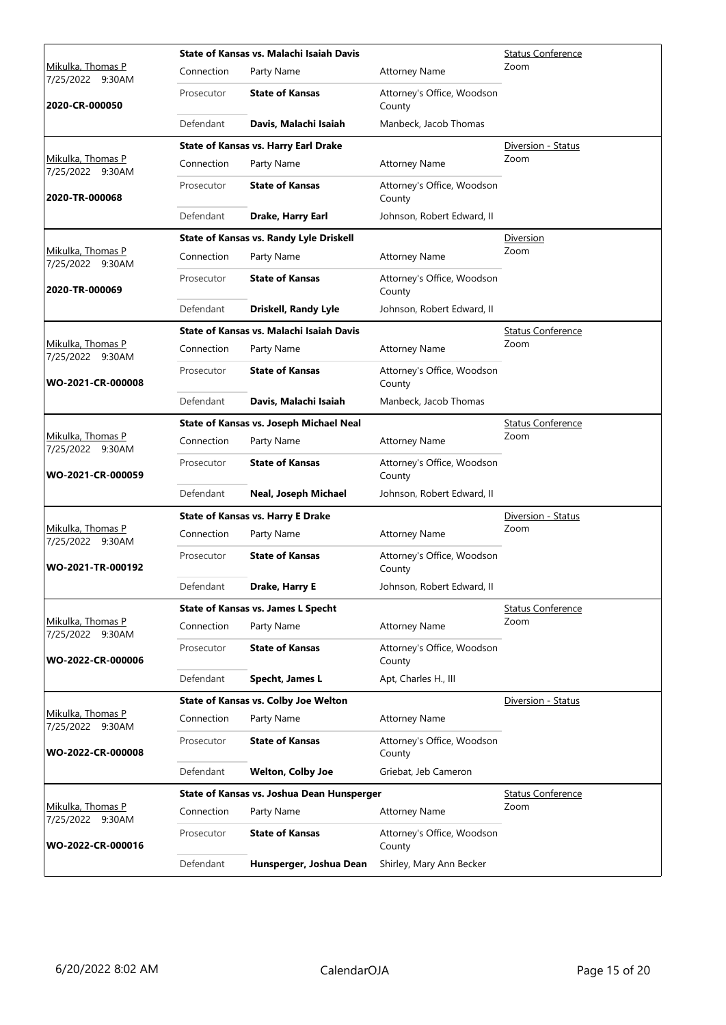|                                              | State of Kansas vs. Malachi Isaiah Davis |                                                |                                      | <b>Status Conference</b> |
|----------------------------------------------|------------------------------------------|------------------------------------------------|--------------------------------------|--------------------------|
| <u>Mikulka, Thomas P</u><br>7/25/2022 9:30AM | Connection                               | Party Name                                     | <b>Attorney Name</b>                 | Zoom                     |
| 2020-CR-000050                               | Prosecutor                               | <b>State of Kansas</b>                         | Attorney's Office, Woodson<br>County |                          |
|                                              | Defendant                                | Davis, Malachi Isaiah                          | Manbeck, Jacob Thomas                |                          |
|                                              |                                          | <b>State of Kansas vs. Harry Earl Drake</b>    |                                      | Diversion - Status       |
| Mikulka, Thomas P<br>7/25/2022 9:30AM        | Connection                               | Party Name                                     | <b>Attorney Name</b>                 | Zoom                     |
| 2020-TR-000068                               | Prosecutor                               | <b>State of Kansas</b>                         | Attorney's Office, Woodson<br>County |                          |
|                                              | Defendant                                | Drake, Harry Earl                              | Johnson, Robert Edward, II           |                          |
|                                              |                                          | <b>State of Kansas vs. Randy Lyle Driskell</b> |                                      | <b>Diversion</b>         |
| Mikulka, Thomas P<br>7/25/2022 9:30AM        | Connection                               | Party Name                                     | <b>Attorney Name</b>                 | Zoom                     |
| 2020-TR-000069                               | Prosecutor                               | <b>State of Kansas</b>                         | Attorney's Office, Woodson<br>County |                          |
|                                              | Defendant                                | Driskell, Randy Lyle                           | Johnson, Robert Edward, II           |                          |
|                                              |                                          | State of Kansas vs. Malachi Isaiah Davis       |                                      | <b>Status Conference</b> |
| <u>Mikulka, Thomas P</u><br>7/25/2022 9:30AM | Connection                               | Party Name                                     | <b>Attorney Name</b>                 | Zoom                     |
| WO-2021-CR-000008                            | Prosecutor                               | <b>State of Kansas</b>                         | Attorney's Office, Woodson<br>County |                          |
|                                              | Defendant                                | Davis, Malachi Isaiah                          | Manbeck, Jacob Thomas                |                          |
|                                              |                                          | State of Kansas vs. Joseph Michael Neal        |                                      | <b>Status Conference</b> |
| Mikulka, Thomas P<br>7/25/2022 9:30AM        | Connection                               | Party Name                                     | <b>Attorney Name</b>                 | Zoom                     |
| WO-2021-CR-000059                            | Prosecutor                               | <b>State of Kansas</b>                         | Attorney's Office, Woodson<br>County |                          |
|                                              | Defendant                                | Neal, Joseph Michael                           | Johnson, Robert Edward, II           |                          |
|                                              |                                          | <b>State of Kansas vs. Harry E Drake</b>       |                                      | Diversion - Status       |
| Mikulka, Thomas P<br>7/25/2022 9:30AM        | Connection                               | Party Name                                     | <b>Attorney Name</b>                 | Zoom                     |
| WO-2021-TR-000192                            | Prosecutor                               | <b>State of Kansas</b>                         | Attorney's Office, Woodson<br>County |                          |
|                                              | Defendant                                | <b>Drake, Harry E</b>                          | Johnson, Robert Edward, II           |                          |
|                                              |                                          | <b>State of Kansas vs. James L Specht</b>      |                                      | <b>Status Conference</b> |
| Mikulka, Thomas P<br>7/25/2022 9:30AM        | Connection                               | Party Name                                     | <b>Attorney Name</b>                 | Zoom                     |
| WO-2022-CR-000006                            | Prosecutor                               | <b>State of Kansas</b>                         | Attorney's Office, Woodson<br>County |                          |
|                                              | Defendant                                | Specht, James L                                | Apt, Charles H., III                 |                          |
|                                              |                                          | <b>State of Kansas vs. Colby Joe Welton</b>    |                                      | Diversion - Status       |
| Mikulka, Thomas P<br>7/25/2022 9:30AM        | Connection                               | Party Name                                     | <b>Attorney Name</b>                 |                          |
| WO-2022-CR-000008                            | Prosecutor                               | <b>State of Kansas</b>                         | Attorney's Office, Woodson<br>County |                          |
|                                              | Defendant                                | <b>Welton, Colby Joe</b>                       | Griebat, Jeb Cameron                 |                          |
|                                              |                                          | State of Kansas vs. Joshua Dean Hunsperger     |                                      | <b>Status Conference</b> |
| Mikulka, Thomas P<br>7/25/2022 9:30AM        | Connection                               | Party Name                                     | <b>Attorney Name</b>                 | Zoom                     |
| WO-2022-CR-000016                            | Prosecutor                               | <b>State of Kansas</b>                         | Attorney's Office, Woodson<br>County |                          |
|                                              | Defendant                                | Hunsperger, Joshua Dean                        | Shirley, Mary Ann Becker             |                          |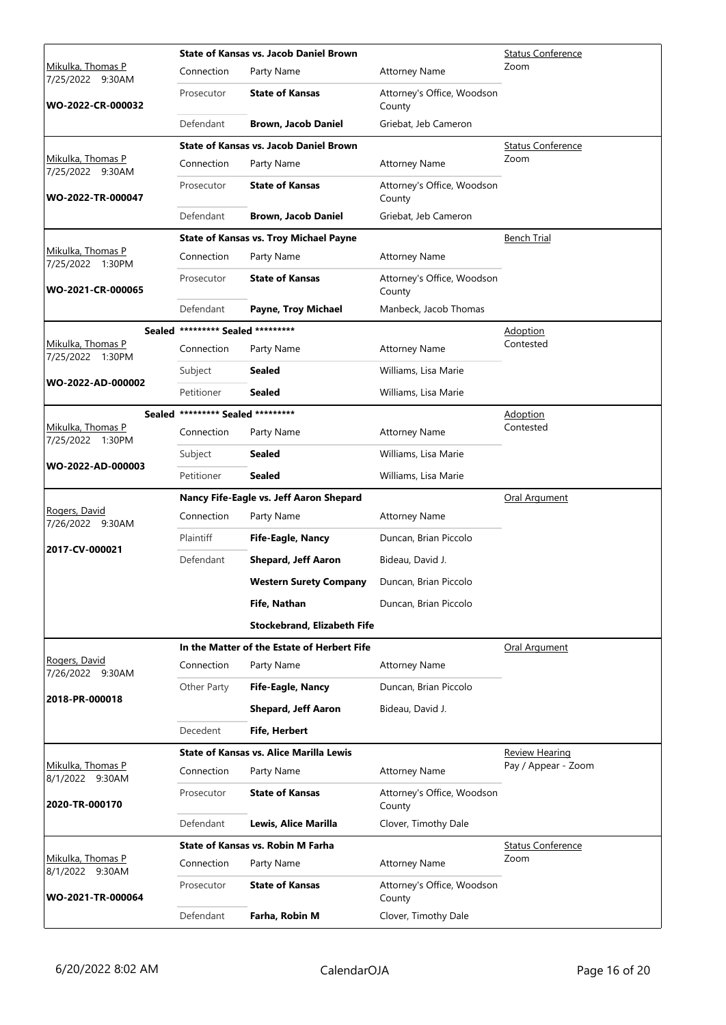|                                          | <b>State of Kansas vs. Jacob Daniel Brown</b> |                                                 |                                           | <b>Status Conference</b> |
|------------------------------------------|-----------------------------------------------|-------------------------------------------------|-------------------------------------------|--------------------------|
| Mikulka, Thomas P<br>7/25/2022<br>9:30AM | Connection                                    | Party Name                                      | <b>Attorney Name</b>                      | Zoom                     |
| WO-2022-CR-000032                        | Prosecutor                                    | <b>State of Kansas</b>                          | Attorney's Office, Woodson<br>County      |                          |
|                                          | Defendant                                     | Brown, Jacob Daniel                             | Griebat, Jeb Cameron                      |                          |
|                                          |                                               | <b>State of Kansas vs. Jacob Daniel Brown</b>   |                                           | Status Conference        |
| Mikulka, Thomas P<br>7/25/2022 9:30AM    | Connection                                    | Party Name                                      | <b>Attorney Name</b>                      | Zoom                     |
| WO-2022-TR-000047                        | Prosecutor                                    | <b>State of Kansas</b>                          | Attorney's Office, Woodson<br>County      |                          |
|                                          | Defendant                                     | Brown, Jacob Daniel                             | Griebat, Jeb Cameron                      |                          |
|                                          |                                               | <b>State of Kansas vs. Troy Michael Payne</b>   |                                           | <b>Bench Trial</b>       |
| Mikulka, Thomas P<br>7/25/2022 1:30PM    | Connection                                    | Party Name                                      | <b>Attorney Name</b>                      |                          |
| WO-2021-CR-000065                        | Prosecutor                                    | <b>State of Kansas</b>                          | Attorney's Office, Woodson<br>County      |                          |
|                                          | Defendant                                     | Payne, Troy Michael                             | Manbeck, Jacob Thomas                     |                          |
|                                          | Sealed ********* Sealed *********             |                                                 |                                           | <b>Adoption</b>          |
| Mikulka, Thomas P<br>7/25/2022 1:30PM    | Connection                                    | Party Name                                      | <b>Attorney Name</b>                      | Contested                |
|                                          | Subject                                       | Sealed                                          | Williams, Lisa Marie                      |                          |
| WO-2022-AD-000002                        | Petitioner                                    | Sealed                                          | Williams, Lisa Marie                      |                          |
|                                          | Sealed ********* Sealed *********             |                                                 |                                           | Adoption                 |
| Mikulka, Thomas P<br>7/25/2022 1:30PM    | Connection                                    | Party Name                                      | <b>Attorney Name</b>                      | Contested                |
|                                          | Subject                                       | Sealed                                          | Williams, Lisa Marie                      |                          |
| WO-2022-AD-000003                        | Petitioner                                    | <b>Sealed</b>                                   | Williams, Lisa Marie                      |                          |
|                                          |                                               |                                                 |                                           |                          |
|                                          |                                               | Nancy Fife-Eagle vs. Jeff Aaron Shepard         |                                           | Oral Argument            |
| Rogers, David                            | Connection                                    | Party Name                                      | <b>Attorney Name</b>                      |                          |
| 7/26/2022 9:30AM                         | Plaintiff                                     | Fife-Eagle, Nancy                               | Duncan, Brian Piccolo                     |                          |
| 2017-CV-000021                           | Defendant                                     | <b>Shepard, Jeff Aaron</b>                      | Bideau, David J.                          |                          |
|                                          |                                               | <b>Western Surety Company</b>                   | Duncan, Brian Piccolo                     |                          |
|                                          |                                               | Fife, Nathan                                    | Duncan, Brian Piccolo                     |                          |
|                                          |                                               |                                                 |                                           |                          |
|                                          |                                               | <b>Stockebrand, Elizabeth Fife</b>              |                                           |                          |
| Rogers, David                            | Connection                                    | In the Matter of the Estate of Herbert Fife     |                                           | Oral Argument            |
| 7/26/2022 9:30AM                         |                                               | Party Name                                      | <b>Attorney Name</b>                      |                          |
| 2018-PR-000018                           | Other Party                                   | Fife-Eagle, Nancy<br><b>Shepard, Jeff Aaron</b> | Duncan, Brian Piccolo<br>Bideau, David J. |                          |
|                                          | Decedent                                      | <b>Fife, Herbert</b>                            |                                           |                          |
|                                          |                                               | <b>State of Kansas vs. Alice Marilla Lewis</b>  |                                           | <b>Review Hearing</b>    |
| Mikulka, Thomas P                        | Connection                                    | Party Name                                      | <b>Attorney Name</b>                      | Pay / Appear - Zoom      |
| 8/1/2022 9:30AM<br>2020-TR-000170        | Prosecutor                                    | <b>State of Kansas</b>                          | Attorney's Office, Woodson<br>County      |                          |
|                                          | Defendant                                     | Lewis, Alice Marilla                            | Clover, Timothy Dale                      |                          |
|                                          |                                               | <b>State of Kansas vs. Robin M Farha</b>        |                                           | <b>Status Conference</b> |
| Mikulka, Thomas P                        | Connection                                    | Party Name                                      | <b>Attorney Name</b>                      | Zoom                     |
| 8/1/2022 9:30AM<br>WO-2021-TR-000064     | Prosecutor                                    | <b>State of Kansas</b>                          | Attorney's Office, Woodson<br>County      |                          |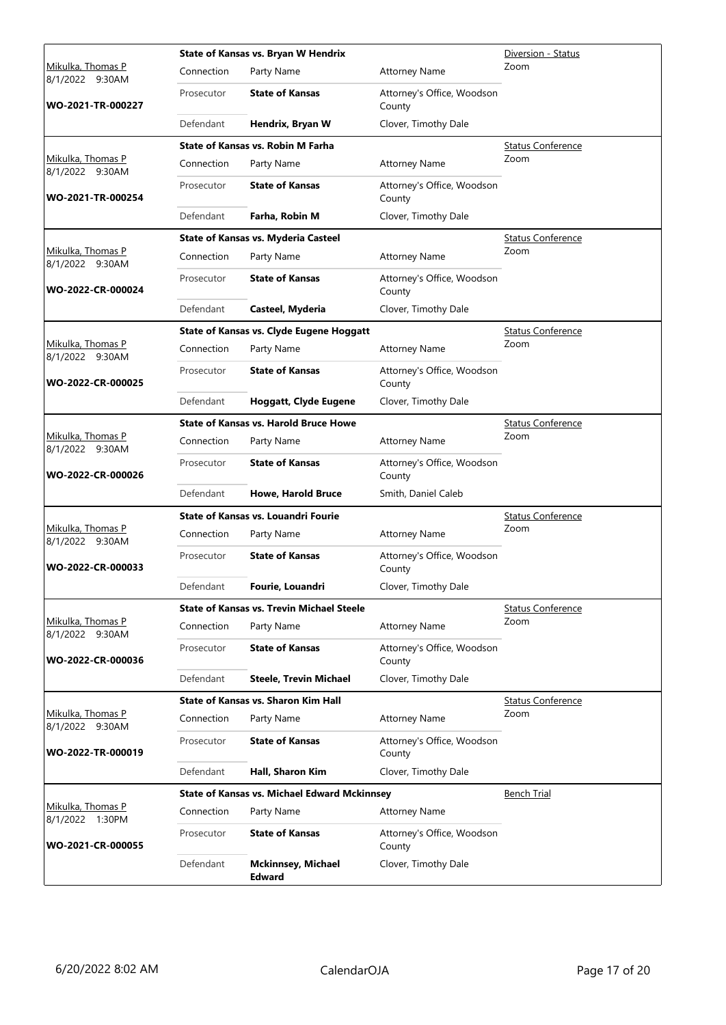|                                         |            | <b>State of Kansas vs. Bryan W Hendrix</b>          | Diversion - Status                   |                          |
|-----------------------------------------|------------|-----------------------------------------------------|--------------------------------------|--------------------------|
| Mikulka, Thomas P<br>8/1/2022 9:30AM    | Connection | Party Name                                          | <b>Attorney Name</b>                 | Zoom                     |
| WO-2021-TR-000227                       | Prosecutor | <b>State of Kansas</b>                              | Attorney's Office, Woodson<br>County |                          |
|                                         | Defendant  | Hendrix, Bryan W                                    | Clover, Timothy Dale                 |                          |
|                                         |            | State of Kansas vs. Robin M Farha                   |                                      | <b>Status Conference</b> |
| Mikulka, Thomas P<br>8/1/2022 9:30AM    | Connection | Party Name                                          | <b>Attorney Name</b>                 | Zoom                     |
| WO-2021-TR-000254                       | Prosecutor | <b>State of Kansas</b>                              | Attorney's Office, Woodson<br>County |                          |
|                                         | Defendant  | Farha, Robin M                                      | Clover, Timothy Dale                 |                          |
|                                         |            | <b>State of Kansas vs. Myderia Casteel</b>          |                                      | <b>Status Conference</b> |
| Mikulka, Thomas P<br>8/1/2022 9:30AM    | Connection | Party Name                                          | <b>Attorney Name</b>                 | Zoom                     |
| WO-2022-CR-000024                       | Prosecutor | <b>State of Kansas</b>                              | Attorney's Office, Woodson<br>County |                          |
|                                         | Defendant  | Casteel, Myderia                                    | Clover, Timothy Dale                 |                          |
|                                         |            | <b>State of Kansas vs. Clyde Eugene Hoggatt</b>     |                                      | <b>Status Conference</b> |
| Mikulka, Thomas P<br>8/1/2022 9:30AM    | Connection | Party Name                                          | <b>Attorney Name</b>                 | Zoom                     |
| WO-2022-CR-000025                       | Prosecutor | <b>State of Kansas</b>                              | Attorney's Office, Woodson<br>County |                          |
|                                         | Defendant  | <b>Hoggatt, Clyde Eugene</b>                        | Clover, Timothy Dale                 |                          |
|                                         |            | <b>State of Kansas vs. Harold Bruce Howe</b>        |                                      | <b>Status Conference</b> |
| Mikulka, Thomas P<br>8/1/2022 9:30AM    | Connection | Party Name                                          | <b>Attorney Name</b>                 | Zoom                     |
| WO-2022-CR-000026                       | Prosecutor | <b>State of Kansas</b>                              | Attorney's Office, Woodson<br>County |                          |
|                                         | Defendant  | <b>Howe, Harold Bruce</b>                           | Smith, Daniel Caleb                  |                          |
|                                         |            | <b>State of Kansas vs. Louandri Fourie</b>          | <b>Status Conference</b><br>Zoom     |                          |
| Mikulka, Thomas P<br>8/1/2022 9:30AM    | Connection | Party Name                                          | <b>Attorney Name</b>                 |                          |
| WO-2022-CR-000033                       | Prosecutor | <b>State of Kansas</b>                              | Attorney's Office, Woodson<br>County |                          |
|                                         | Defendant  | Fourie, Louandri                                    | Clover, Timothy Dale                 |                          |
|                                         |            | <b>State of Kansas vs. Trevin Michael Steele</b>    |                                      | <b>Status Conference</b> |
| Mikulka, Thomas P<br>8/1/2022 9:30AM    | Connection | Party Name                                          | <b>Attorney Name</b>                 | Zoom                     |
| WO-2022-CR-000036                       | Prosecutor | <b>State of Kansas</b>                              | Attorney's Office, Woodson<br>County |                          |
|                                         | Defendant  | <b>Steele, Trevin Michael</b>                       | Clover, Timothy Dale                 |                          |
|                                         |            | <b>State of Kansas vs. Sharon Kim Hall</b>          |                                      | <b>Status Conference</b> |
| Mikulka, Thomas P<br>8/1/2022 9:30AM    | Connection | Party Name                                          | <b>Attorney Name</b>                 | Zoom                     |
| WO-2022-TR-000019                       | Prosecutor | <b>State of Kansas</b>                              | Attorney's Office, Woodson<br>County |                          |
|                                         | Defendant  | Hall, Sharon Kim                                    | Clover, Timothy Dale                 |                          |
|                                         |            | <b>State of Kansas vs. Michael Edward Mckinnsey</b> |                                      | <b>Bench Trial</b>       |
| Mikulka, Thomas P<br>8/1/2022<br>1:30PM | Connection | Party Name                                          | <b>Attorney Name</b>                 |                          |
| WO-2021-CR-000055                       | Prosecutor | <b>State of Kansas</b>                              | Attorney's Office, Woodson<br>County |                          |
|                                         | Defendant  | <b>Mckinnsey, Michael</b><br><b>Edward</b>          | Clover, Timothy Dale                 |                          |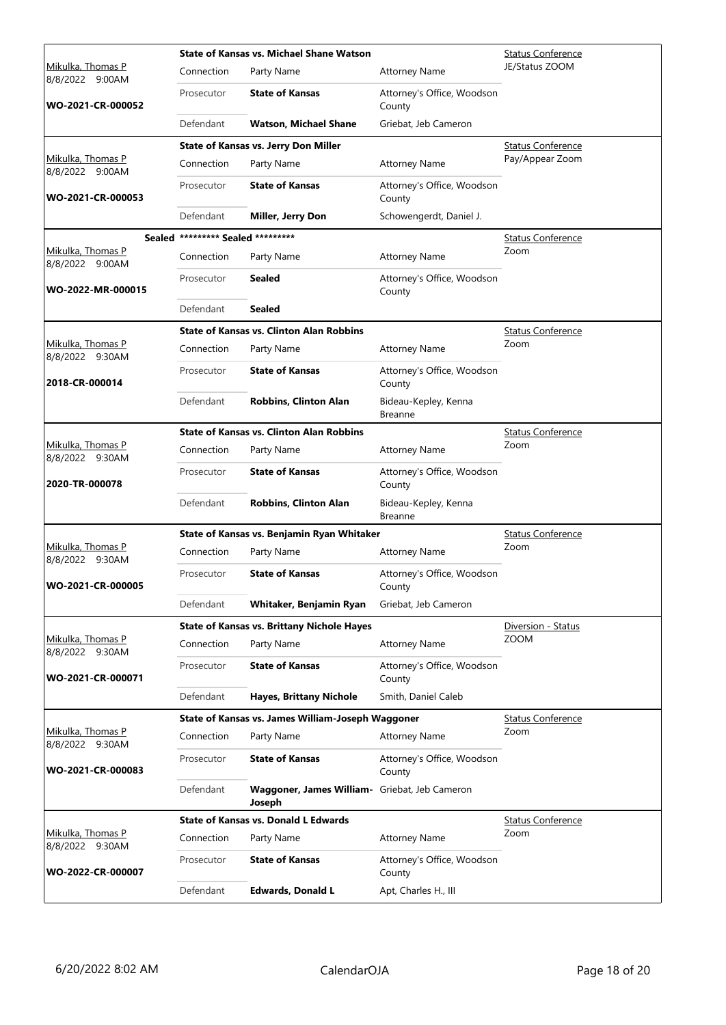|                                      |                                   | State of Kansas vs. Michael Shane Watson                | <b>Status Conference</b>             |                          |
|--------------------------------------|-----------------------------------|---------------------------------------------------------|--------------------------------------|--------------------------|
| Mikulka, Thomas P<br>8/8/2022 9:00AM | Connection                        | Party Name                                              | <b>Attorney Name</b>                 | JE/Status ZOOM           |
| WO-2021-CR-000052                    | Prosecutor                        | <b>State of Kansas</b>                                  | Attorney's Office, Woodson<br>County |                          |
|                                      | Defendant                         | Watson, Michael Shane                                   | Griebat, Jeb Cameron                 |                          |
|                                      |                                   | <b>State of Kansas vs. Jerry Don Miller</b>             |                                      | <b>Status Conference</b> |
| Mikulka, Thomas P<br>8/8/2022 9:00AM | Connection                        | Party Name                                              | <b>Attorney Name</b>                 | Pay/Appear Zoom          |
| WO-2021-CR-000053                    | Prosecutor                        | <b>State of Kansas</b>                                  | Attorney's Office, Woodson<br>County |                          |
|                                      | Defendant                         | Miller, Jerry Don                                       | Schowengerdt, Daniel J.              |                          |
|                                      | Sealed ********* Sealed ********* |                                                         |                                      | <b>Status Conference</b> |
| Mikulka, Thomas P<br>8/8/2022 9:00AM | Connection                        | Party Name                                              | <b>Attorney Name</b>                 | Zoom                     |
| WO-2022-MR-000015                    | Prosecutor                        | Sealed                                                  | Attorney's Office, Woodson<br>County |                          |
|                                      | Defendant                         | Sealed                                                  |                                      |                          |
|                                      |                                   | <b>State of Kansas vs. Clinton Alan Robbins</b>         |                                      | <b>Status Conference</b> |
| Mikulka, Thomas P<br>8/8/2022 9:30AM | Connection                        | Party Name                                              | <b>Attorney Name</b>                 | Zoom                     |
| 2018-CR-000014                       | Prosecutor                        | <b>State of Kansas</b>                                  | Attorney's Office, Woodson<br>County |                          |
|                                      | Defendant                         | <b>Robbins, Clinton Alan</b>                            | Bideau-Kepley, Kenna<br>Breanne      |                          |
|                                      |                                   | <b>State of Kansas vs. Clinton Alan Robbins</b>         |                                      | <b>Status Conference</b> |
| Mikulka, Thomas P<br>8/8/2022 9:30AM | Connection                        | Party Name                                              | <b>Attorney Name</b>                 | Zoom                     |
| 2020-TR-000078                       | Prosecutor                        | <b>State of Kansas</b>                                  | Attorney's Office, Woodson<br>County |                          |
|                                      | Defendant                         | <b>Robbins, Clinton Alan</b>                            | Bideau-Kepley, Kenna<br>Breanne      |                          |
|                                      |                                   | State of Kansas vs. Benjamin Ryan Whitaker              |                                      | <b>Status Conference</b> |
| Mikulka, Thomas P<br>8/8/2022 9:30AM | Connection                        | Party Name                                              | <b>Attorney Name</b>                 | Zoom                     |
| WO-2021-CR-000005                    | Prosecutor                        | <b>State of Kansas</b>                                  | Attorney's Office, Woodson<br>County |                          |
|                                      | Defendant                         | Whitaker, Benjamin Ryan                                 | Griebat, Jeb Cameron                 |                          |
|                                      |                                   | <b>State of Kansas vs. Brittany Nichole Hayes</b>       |                                      | Diversion - Status       |
| Mikulka, Thomas P<br>8/8/2022 9:30AM | Connection                        | Party Name                                              | <b>Attorney Name</b>                 | <b>ZOOM</b>              |
| WO-2021-CR-000071                    | Prosecutor                        | <b>State of Kansas</b>                                  | Attorney's Office, Woodson<br>County |                          |
|                                      | Defendant                         | Hayes, Brittany Nichole                                 | Smith, Daniel Caleb                  |                          |
|                                      |                                   | State of Kansas vs. James William-Joseph Waggoner       |                                      | <b>Status Conference</b> |
| Mikulka, Thomas P<br>8/8/2022 9:30AM | Connection                        | Party Name                                              | <b>Attorney Name</b>                 | Zoom                     |
| WO-2021-CR-000083                    | Prosecutor                        | <b>State of Kansas</b>                                  | Attorney's Office, Woodson<br>County |                          |
|                                      | Defendant                         | Waggoner, James William- Griebat, Jeb Cameron<br>Joseph |                                      |                          |
|                                      |                                   | <b>State of Kansas vs. Donald L Edwards</b>             |                                      | <b>Status Conference</b> |
| Mikulka, Thomas P<br>8/8/2022 9:30AM | Connection                        | Party Name                                              | <b>Attorney Name</b>                 | Zoom                     |
| WO-2022-CR-000007                    | Prosecutor                        | <b>State of Kansas</b>                                  | Attorney's Office, Woodson<br>County |                          |
|                                      | Defendant                         | <b>Edwards, Donald L</b>                                | Apt, Charles H., III                 |                          |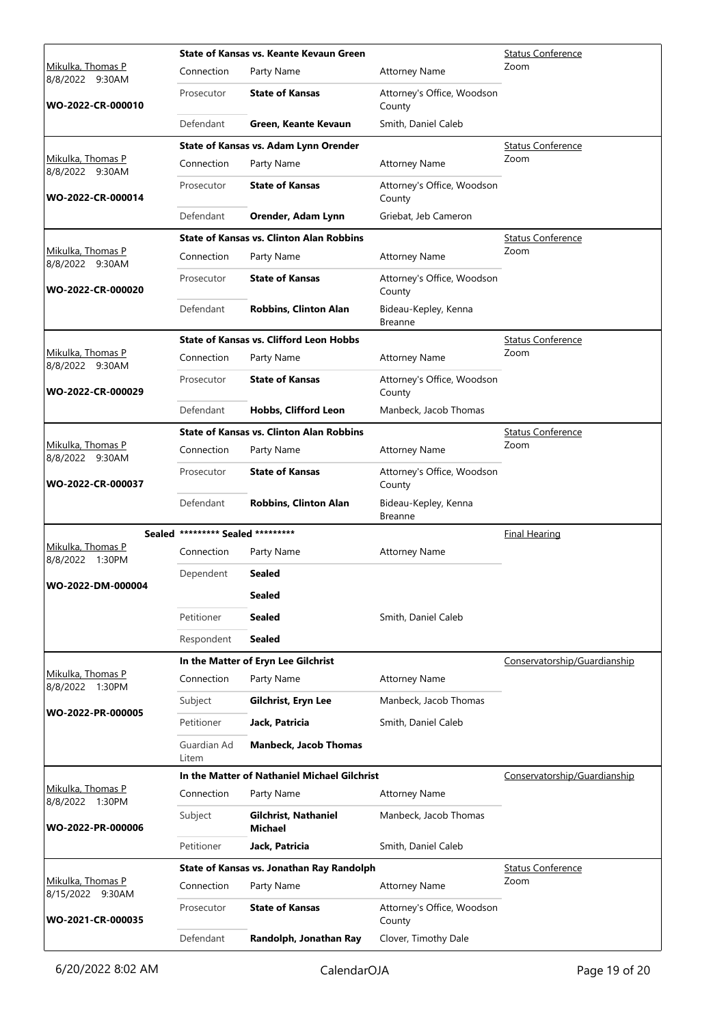|                                       |                                   | State of Kansas vs. Keante Kevaun Green         | <b>Status Conference</b>               |                              |
|---------------------------------------|-----------------------------------|-------------------------------------------------|----------------------------------------|------------------------------|
| Mikulka, Thomas P<br>8/8/2022 9:30AM  | Connection                        | Party Name                                      | <b>Attorney Name</b>                   | Zoom                         |
| WO-2022-CR-000010                     | Prosecutor                        | <b>State of Kansas</b>                          | Attorney's Office, Woodson<br>County   |                              |
|                                       | Defendant                         | Green, Keante Kevaun                            | Smith, Daniel Caleb                    |                              |
|                                       |                                   | State of Kansas vs. Adam Lynn Orender           |                                        | <b>Status Conference</b>     |
| Mikulka, Thomas P<br>8/8/2022 9:30AM  | Connection                        | Party Name                                      | <b>Attorney Name</b>                   | Zoom                         |
| WO-2022-CR-000014                     | Prosecutor                        | <b>State of Kansas</b>                          | Attorney's Office, Woodson<br>County   |                              |
|                                       | Defendant                         | Orender, Adam Lynn                              | Griebat, Jeb Cameron                   |                              |
|                                       |                                   | <b>State of Kansas vs. Clinton Alan Robbins</b> |                                        | <b>Status Conference</b>     |
| Mikulka, Thomas P<br>8/8/2022 9:30AM  | Connection                        | Party Name                                      | <b>Attorney Name</b>                   | Zoom                         |
| WO-2022-CR-000020                     | Prosecutor                        | <b>State of Kansas</b>                          | Attorney's Office, Woodson<br>County   |                              |
|                                       | Defendant                         | <b>Robbins, Clinton Alan</b>                    | Bideau-Kepley, Kenna<br><b>Breanne</b> |                              |
|                                       |                                   | <b>State of Kansas vs. Clifford Leon Hobbs</b>  |                                        | <b>Status Conference</b>     |
| Mikulka, Thomas P<br>8/8/2022 9:30AM  | Connection                        | Party Name                                      | <b>Attorney Name</b>                   | Zoom                         |
| WO-2022-CR-000029                     | Prosecutor                        | <b>State of Kansas</b>                          | Attorney's Office, Woodson<br>County   |                              |
|                                       | Defendant                         | Hobbs, Clifford Leon                            | Manbeck, Jacob Thomas                  |                              |
|                                       |                                   | <b>State of Kansas vs. Clinton Alan Robbins</b> |                                        | <b>Status Conference</b>     |
| Mikulka, Thomas P<br>8/8/2022 9:30AM  | Connection                        | Party Name                                      | <b>Attorney Name</b>                   | Zoom                         |
| WO-2022-CR-000037                     | Prosecutor                        | <b>State of Kansas</b>                          | Attorney's Office, Woodson<br>County   |                              |
|                                       | Defendant                         | <b>Robbins, Clinton Alan</b>                    | Bideau-Kepley, Kenna<br>Breanne        |                              |
|                                       | Sealed ********* Sealed ********* |                                                 |                                        | <b>Final Hearing</b>         |
| Mikulka, Thomas P<br>8/8/2022 1:30PM  | Connection                        | Party Name                                      | <b>Attorney Name</b>                   |                              |
|                                       | Dependent                         | <b>Sealed</b>                                   |                                        |                              |
| WO-2022-DM-000004                     |                                   | Sealed                                          |                                        |                              |
|                                       | Petitioner                        | Sealed                                          | Smith, Daniel Caleb                    |                              |
|                                       | Respondent                        | <b>Sealed</b>                                   |                                        |                              |
|                                       |                                   | In the Matter of Eryn Lee Gilchrist             |                                        | Conservatorship/Guardianship |
| Mikulka, Thomas P<br>8/8/2022 1:30PM  | Connection                        | Party Name                                      | <b>Attorney Name</b>                   |                              |
|                                       | Subject                           | Gilchrist, Eryn Lee                             | Manbeck, Jacob Thomas                  |                              |
| WO-2022-PR-000005                     | Petitioner                        | Jack, Patricia                                  | Smith, Daniel Caleb                    |                              |
|                                       | Guardian Ad<br>Litem              | <b>Manbeck, Jacob Thomas</b>                    |                                        |                              |
|                                       |                                   | In the Matter of Nathaniel Michael Gilchrist    |                                        | Conservatorship/Guardianship |
| Mikulka, Thomas P<br>8/8/2022 1:30PM  | Connection                        | Party Name                                      | <b>Attorney Name</b>                   |                              |
| WO-2022-PR-000006                     | Subject                           | Gilchrist, Nathaniel<br>Michael                 | Manbeck, Jacob Thomas                  |                              |
|                                       | Petitioner                        | Jack, Patricia                                  | Smith, Daniel Caleb                    |                              |
|                                       |                                   | State of Kansas vs. Jonathan Ray Randolph       |                                        | <b>Status Conference</b>     |
| Mikulka, Thomas P<br>8/15/2022 9:30AM | Connection                        | Party Name                                      | <b>Attorney Name</b>                   | Zoom                         |
| WO-2021-CR-000035                     | Prosecutor                        | <b>State of Kansas</b>                          | Attorney's Office, Woodson<br>County   |                              |
|                                       | Defendant                         | Randolph, Jonathan Ray                          | Clover, Timothy Dale                   |                              |